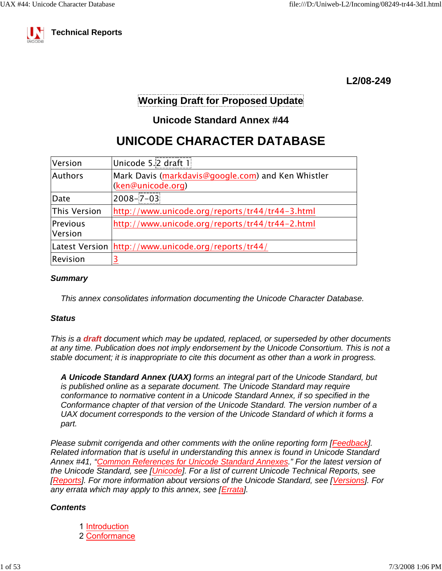

**L2/08-249**

## **Working Draft for Proposed Update**

## **Unicode Standard Annex #44**

# **UNICODE CHARACTER DATABASE**

| Version             | Unicode 5.2 draft 1                                                     |
|---------------------|-------------------------------------------------------------------------|
| <b>Authors</b>      | Mark Davis (markdavis@google.com) and Ken Whistler<br>(ken@unicode.org) |
| Date                | $ 2008 - 7 - 03 $                                                       |
| This Version        | http://www.unicode.org/reports/tr44/tr44-3.html                         |
| Previous<br>Version | http://www.unicode.org/reports/tr44/tr44-2.html                         |
|                     | Latest Version   http://www.unicode.org/reports/tr44/                   |
| Revision            |                                                                         |

#### *Summary*

*This annex consolidates information documenting the Unicode Character Database.*

#### *Status*

*This is a draft document which may be updated, replaced, or superseded by other documents at any time. Publication does not imply endorsement by the Unicode Consortium. This is not a stable document; it is inappropriate to cite this document as other than a work in progress.*

*A Unicode Standard Annex (UAX) forms an integral part of the Unicode Standard, but is published online as a separate document. The Unicode Standard may require conformance to normative content in a Unicode Standard Annex, if so specified in the Conformance chapter of that version of the Unicode Standard. The version number of a UAX document corresponds to the version of the Unicode Standard of which it forms a part.*

*Please submit corrigenda and other comments with the online reporting form [Feedback]. Related information that is useful in understanding this annex is found in Unicode Standard Annex #41, "Common References for Unicode Standard Annexes." For the latest version of the Unicode Standard, see [Unicode]. For a list of current Unicode Technical Reports, see [Reports]. For more information about versions of the Unicode Standard, see [Versions]. For any errata which may apply to this annex, see [Errata].*

#### *Contents*

- 1 Introduction
- 2 Conformance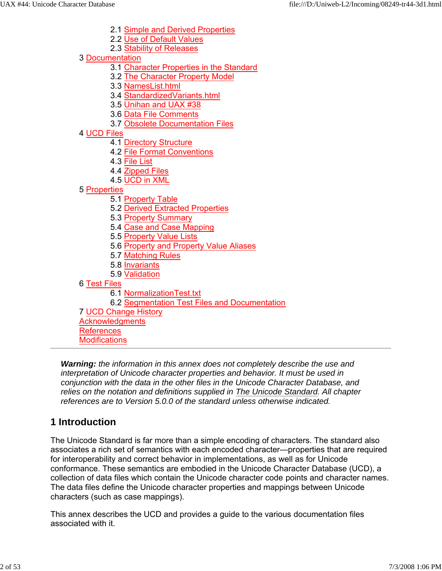- 2.1 Simple and Derived Properties
- 2.2 Use of Default Values
- 2.3 Stability of Releases
- 3 Documentation
	- 3.1 Character Properties in the Standard
	- 3.2 The Character Property Model
	- 3.3 NamesList.html
	- 3.4 StandardizedVariants.html
	- 3.5 Unihan and UAX #38
	- 3.6 Data File Comments
	- 3.7 Obsolete Documentation Files
- 4 UCD Files
	- 4.1 Directory Structure
	- 4.2 File Format Conventions
	- 4.3 File List
	- 4.4 Zipped Files
	- 4.5 UCD in XML
- 5 Properties
	- 5.1 Property Table
	- 5.2 Derived Extracted Properties
	- 5.3 Property Summary
	- 5.4 Case and Case Mapping
	- 5.5 Property Value Lists
	- 5.6 Property and Property Value Aliases
	- 5.7 Matching Rules
	- 5.8 Invariants
	- 5.9 Validation

#### 6 Test Files

- 6.1 NormalizationTest.txt
- 6.2 Segmentation Test Files and Documentation

7 UCD Change History

**Acknowledgments** 

References

**Modifications** 

*Warning: the information in this annex does not completely describe the use and interpretation of Unicode character properties and behavior. It must be used in conjunction with the data in the other files in the Unicode Character Database, and relies on the notation and definitions supplied in The Unicode Standard. All chapter references are to Version 5.0.0 of the standard unless otherwise indicated.*

## **1 Introduction**

The Unicode Standard is far more than a simple encoding of characters. The standard also associates a rich set of semantics with each encoded character—properties that are required for interoperability and correct behavior in implementations, as well as for Unicode conformance. These semantics are embodied in the Unicode Character Database (UCD), a collection of data files which contain the Unicode character code points and character names. The data files define the Unicode character properties and mappings between Unicode characters (such as case mappings).

This annex describes the UCD and provides a guide to the various documentation files associated with it.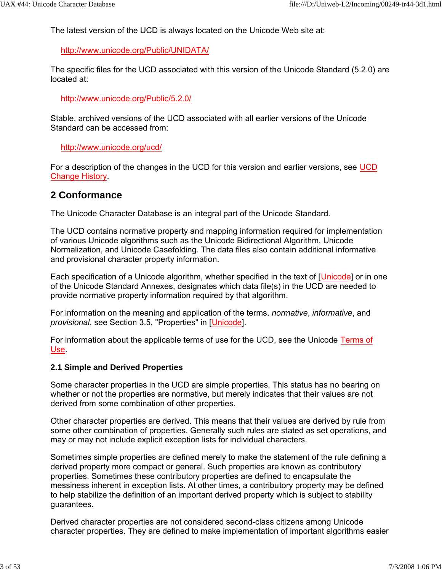The latest version of the UCD is always located on the Unicode Web site at:

#### http://www.unicode.org/Public/UNIDATA/

The specific files for the UCD associated with this version of the Unicode Standard (5.2.0) are located at:

http://www.unicode.org/Public/5.2.0/

Stable, archived versions of the UCD associated with all earlier versions of the Unicode Standard can be accessed from:

http://www.unicode.org/ucd/

For a description of the changes in the UCD for this version and earlier versions, see UCD Change History.

## **2 Conformance**

The Unicode Character Database is an integral part of the Unicode Standard.

The UCD contains normative property and mapping information required for implementation of various Unicode algorithms such as the Unicode Bidirectional Algorithm, Unicode Normalization, and Unicode Casefolding. The data files also contain additional informative and provisional character property information.

Each specification of a Unicode algorithm, whether specified in the text of [Unicode] or in one of the Unicode Standard Annexes, designates which data file(s) in the UCD are needed to provide normative property information required by that algorithm.

For information on the meaning and application of the terms, *normative*, *informative*, and *provisional*, see Section 3.5, "Properties" in [Unicode].

For information about the applicable terms of use for the UCD, see the Unicode Terms of Use.

#### **2.1 Simple and Derived Properties**

Some character properties in the UCD are simple properties. This status has no bearing on whether or not the properties are normative, but merely indicates that their values are not derived from some combination of other properties.

Other character properties are derived. This means that their values are derived by rule from some other combination of properties. Generally such rules are stated as set operations, and may or may not include explicit exception lists for individual characters.

Sometimes simple properties are defined merely to make the statement of the rule defining a derived property more compact or general. Such properties are known as contributory properties. Sometimes these contributory properties are defined to encapsulate the messiness inherent in exception lists. At other times, a contributory property may be defined to help stabilize the definition of an important derived property which is subject to stability guarantees.

Derived character properties are not considered second-class citizens among Unicode character properties. They are defined to make implementation of important algorithms easier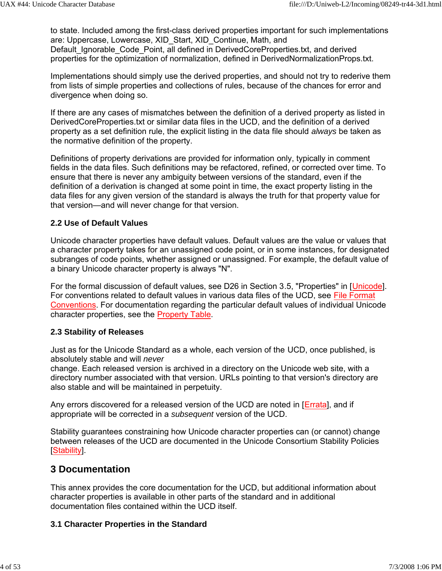to state. Included among the first-class derived properties important for such implementations are: Uppercase, Lowercase, XID\_Start, XID\_Continue, Math, and Default\_Ignorable\_Code\_Point, all defined in DerivedCoreProperties.txt, and derived properties for the optimization of normalization, defined in DerivedNormalizationProps.txt.

Implementations should simply use the derived properties, and should not try to rederive them from lists of simple properties and collections of rules, because of the chances for error and divergence when doing so.

If there are any cases of mismatches between the definition of a derived property as listed in DerivedCoreProperties.txt or similar data files in the UCD, and the definition of a derived property as a set definition rule, the explicit listing in the data file should *always* be taken as the normative definition of the property.

Definitions of property derivations are provided for information only, typically in comment fields in the data files. Such definitions may be refactored, refined, or corrected over time. To ensure that there is never any ambiguity between versions of the standard, even if the definition of a derivation is changed at some point in time, the exact property listing in the data files for any given version of the standard is always the truth for that property value for that version—and will never change for that version.

#### **2.2 Use of Default Values**

Unicode character properties have default values. Default values are the value or values that a character property takes for an unassigned code point, or in some instances, for designated subranges of code points, whether assigned or unassigned. For example, the default value of a binary Unicode character property is always "N".

For the formal discussion of default values, see D26 in Section 3.5, "Properties" in [Unicode]. For conventions related to default values in various data files of the UCD, see File Format Conventions. For documentation regarding the particular default values of individual Unicode character properties, see the Property Table.

#### **2.3 Stability of Releases**

Just as for the Unicode Standard as a whole, each version of the UCD, once published, is absolutely stable and will *never*

change. Each released version is archived in a directory on the Unicode web site, with a directory number associated with that version. URLs pointing to that version's directory are also stable and will be maintained in perpetuity.

Any errors discovered for a released version of the UCD are noted in [Errata], and if appropriate will be corrected in a *subsequent* version of the UCD.

Stability guarantees constraining how Unicode character properties can (or cannot) change between releases of the UCD are documented in the Unicode Consortium Stability Policies [Stability].

## **3 Documentation**

This annex provides the core documentation for the UCD, but additional information about character properties is available in other parts of the standard and in additional documentation files contained within the UCD itself.

#### **3.1 Character Properties in the Standard**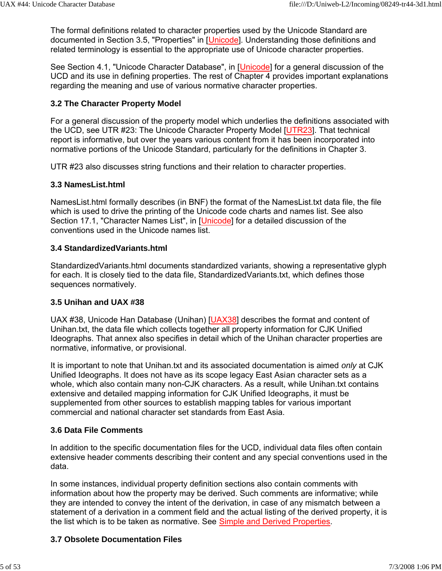The formal definitions related to character properties used by the Unicode Standard are documented in Section 3.5, "Properties" in [Unicode]. Understanding those definitions and related terminology is essential to the appropriate use of Unicode character properties.

See Section 4.1, "Unicode Character Database", in [Unicode] for a general discussion of the UCD and its use in defining properties. The rest of Chapter 4 provides important explanations regarding the meaning and use of various normative character properties.

#### **3.2 The Character Property Model**

For a general discussion of the property model which underlies the definitions associated with the UCD, see UTR #23: The Unicode Character Property Model [UTR23]. That technical report is informative, but over the years various content from it has been incorporated into normative portions of the Unicode Standard, particularly for the definitions in Chapter 3.

UTR #23 also discusses string functions and their relation to character properties.

#### **3.3 NamesList.html**

NamesList.html formally describes (in BNF) the format of the NamesList.txt data file, the file which is used to drive the printing of the Unicode code charts and names list. See also Section 17.1, "Character Names List", in [Unicode] for a detailed discussion of the conventions used in the Unicode names list.

#### **3.4 StandardizedVariants.html**

StandardizedVariants.html documents standardized variants, showing a representative glyph for each. It is closely tied to the data file, StandardizedVariants.txt, which defines those sequences normatively.

#### **3.5 Unihan and UAX #38**

UAX #38, Unicode Han Database (Unihan) [UAX38] describes the format and content of Unihan.txt, the data file which collects together all property information for CJK Unified Ideographs. That annex also specifies in detail which of the Unihan character properties are normative, informative, or provisional.

It is important to note that Unihan.txt and its associated documentation is aimed *only* at CJK Unified Ideographs. It does not have as its scope legacy East Asian character sets as a whole, which also contain many non-CJK characters. As a result, while Unihan.txt contains extensive and detailed mapping information for CJK Unified Ideographs, it must be supplemented from other sources to establish mapping tables for various important commercial and national character set standards from East Asia.

#### **3.6 Data File Comments**

In addition to the specific documentation files for the UCD, individual data files often contain extensive header comments describing their content and any special conventions used in the data.

In some instances, individual property definition sections also contain comments with information about how the property may be derived. Such comments are informative; while they are intended to convey the intent of the derivation, in case of any mismatch between a statement of a derivation in a comment field and the actual listing of the derived property, it is the list which is to be taken as normative. See Simple and Derived Properties.

#### **3.7 Obsolete Documentation Files**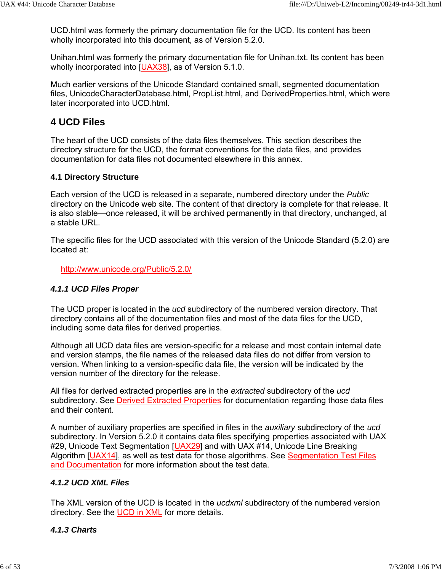UCD.html was formerly the primary documentation file for the UCD. Its content has been wholly incorporated into this document, as of Version 5.2.0.

Unihan.html was formerly the primary documentation file for Unihan.txt. Its content has been wholly incorporated into [UAX38], as of Version 5.1.0.

Much earlier versions of the Unicode Standard contained small, segmented documentation files, UnicodeCharacterDatabase.html, PropList.html, and DerivedProperties.html, which were later incorporated into UCD.html.

## **4 UCD Files**

The heart of the UCD consists of the data files themselves. This section describes the directory structure for the UCD, the format conventions for the data files, and provides documentation for data files not documented elsewhere in this annex.

#### **4.1 Directory Structure**

Each version of the UCD is released in a separate, numbered directory under the *Public* directory on the Unicode web site. The content of that directory is complete for that release. It is also stable—once released, it will be archived permanently in that directory, unchanged, at a stable URL.

The specific files for the UCD associated with this version of the Unicode Standard (5.2.0) are located at:

http://www.unicode.org/Public/5.2.0/

#### *4.1.1 UCD Files Proper*

The UCD proper is located in the *ucd* subdirectory of the numbered version directory. That directory contains all of the documentation files and most of the data files for the UCD, including some data files for derived properties.

Although all UCD data files are version-specific for a release and most contain internal date and version stamps, the file names of the released data files do not differ from version to version. When linking to a version-specific data file, the version will be indicated by the version number of the directory for the release.

All files for derived extracted properties are in the *extracted* subdirectory of the *ucd* subdirectory. See Derived Extracted Properties for documentation regarding those data files and their content.

A number of auxiliary properties are specified in files in the *auxiliary* subdirectory of the *ucd* subdirectory. In Version 5.2.0 it contains data files specifying properties associated with UAX #29, Unicode Text Segmentation [UAX29] and with UAX #14, Unicode Line Breaking Algorithm [UAX14], as well as test data for those algorithms. See Segmentation Test Files and Documentation for more information about the test data.

#### *4.1.2 UCD XML Files*

The XML version of the UCD is located in the *ucdxml* subdirectory of the numbered version directory. See the UCD in XML for more details.

#### *4.1.3 Charts*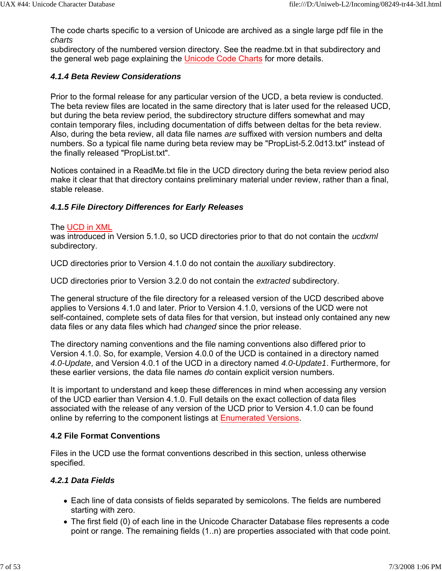The code charts specific to a version of Unicode are archived as a single large pdf file in the *charts*

subdirectory of the numbered version directory. See the readme.txt in that subdirectory and the general web page explaining the Unicode Code Charts for more details.

#### *4.1.4 Beta Review Considerations*

Prior to the formal release for any particular version of the UCD, a beta review is conducted. The beta review files are located in the same directory that is later used for the released UCD, but during the beta review period, the subdirectory structure differs somewhat and may contain temporary files, including documentation of diffs between deltas for the beta review. Also, during the beta review, all data file names *are* suffixed with version numbers and delta numbers. So a typical file name during beta review may be "PropList-5.2.0d13.txt" instead of the finally released "PropList.txt".

Notices contained in a ReadMe.txt file in the UCD directory during the beta review period also make it clear that that directory contains preliminary material under review, rather than a final, stable release.

#### *4.1.5 File Directory Differences for Early Releases*

#### The UCD in XML

was introduced in Version 5.1.0, so UCD directories prior to that do not contain the *ucdxml* subdirectory.

UCD directories prior to Version 4.1.0 do not contain the *auxiliary* subdirectory.

UCD directories prior to Version 3.2.0 do not contain the *extracted* subdirectory.

The general structure of the file directory for a released version of the UCD described above applies to Versions 4.1.0 and later. Prior to Version 4.1.0, versions of the UCD were not self-contained, complete sets of data files for that version, but instead only contained any new data files or any data files which had *changed* since the prior release.

The directory naming conventions and the file naming conventions also differed prior to Version 4.1.0. So, for example, Version 4.0.0 of the UCD is contained in a directory named *4.0-Update*, and Version 4.0.1 of the UCD in a directory named *4.0-Update1*. Furthermore, for these earlier versions, the data file names *do* contain explicit version numbers.

It is important to understand and keep these differences in mind when accessing any version of the UCD earlier than Version 4.1.0. Full details on the exact collection of data files associated with the release of any version of the UCD prior to Version 4.1.0 can be found online by referring to the component listings at Enumerated Versions.

#### **4.2 File Format Conventions**

Files in the UCD use the format conventions described in this section, unless otherwise specified.

#### *4.2.1 Data Fields*

- Each line of data consists of fields separated by semicolons. The fields are numbered starting with zero.
- The first field (0) of each line in the Unicode Character Database files represents a code point or range. The remaining fields (1..n) are properties associated with that code point.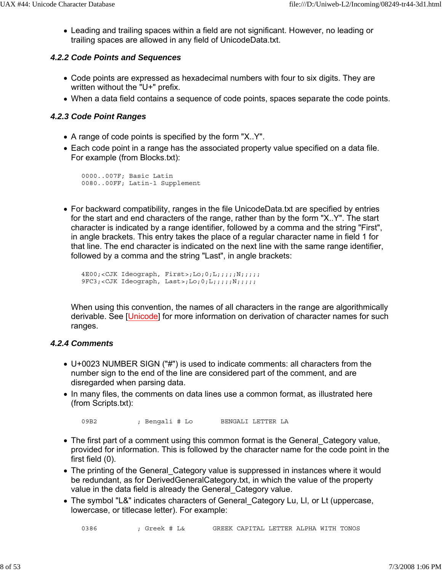Leading and trailing spaces within a field are not significant. However, no leading or trailing spaces are allowed in any field of UnicodeData.txt.

#### *4.2.2 Code Points and Sequences*

- Code points are expressed as hexadecimal numbers with four to six digits. They are written without the "U+" prefix.
- When a data field contains a sequence of code points, spaces separate the code points.

#### *4.2.3 Code Point Ranges*

- A range of code points is specified by the form "X..Y".
- Each code point in a range has the associated property value specified on a data file. For example (from Blocks.txt):

```
0000..007F; Basic Latin
0080..00FF; Latin-1 Supplement
```
For backward compatibility, ranges in the file UnicodeData.txt are specified by entries for the start and end characters of the range, rather than by the form "X..Y". The start character is indicated by a range identifier, followed by a comma and the string "First", in angle brackets. This entry takes the place of a regular character name in field 1 for that line. The end character is indicated on the next line with the same range identifier, followed by a comma and the string "Last", in angle brackets:

```
4E00;<CJK Ideograph, First>;Lo;0;L;;;;;N;;;;;
9FC3;<CJK Ideograph, Last>;Lo;0;L;;;;;N;;;;;
```
When using this convention, the names of all characters in the range are algorithmically derivable. See [Unicode] for more information on derivation of character names for such ranges.

#### *4.2.4 Comments*

- U+0023 NUMBER SIGN ("#") is used to indicate comments: all characters from the number sign to the end of the line are considered part of the comment, and are disregarded when parsing data.
- In many files, the comments on data lines use a common format, as illustrated here (from Scripts.txt):

09B2 ; Bengali # Lo BENGALI LETTER LA

- The first part of a comment using this common format is the General Category value, provided for information. This is followed by the character name for the code point in the first field (0).
- The printing of the General Category value is suppressed in instances where it would be redundant, as for DerivedGeneralCategory.txt, in which the value of the property value in the data field is already the General Category value.
- The symbol "L&" indicates characters of General\_Category Lu, Ll, or Lt (uppercase, lowercase, or titlecase letter). For example:

0386 ; Greek # L& GREEK CAPITAL LETTER ALPHA WITH TONOS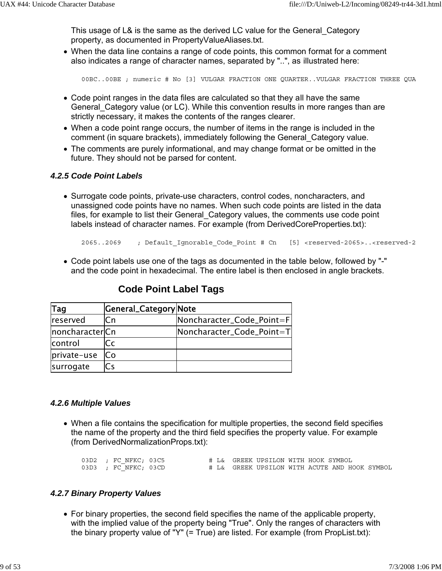This usage of L& is the same as the derived LC value for the General\_Category property, as documented in PropertyValueAliases.txt.

When the data line contains a range of code points, this common format for a comment also indicates a range of character names, separated by "..", as illustrated here:

00BC..00BE ; numeric # No [3] VULGAR FRACTION ONE QUARTER..VULGAR FRACTION THREE QUA

- Code point ranges in the data files are calculated so that they all have the same General Category value (or LC). While this convention results in more ranges than are strictly necessary, it makes the contents of the ranges clearer.
- When a code point range occurs, the number of items in the range is included in the comment (in square brackets), immediately following the General\_Category value.
- The comments are purely informational, and may change format or be omitted in the future. They should not be parsed for content.

#### *4.2.5 Code Point Labels*

• Surrogate code points, private-use characters, control codes, noncharacters, and unassigned code points have no names. When such code points are listed in the data files, for example to list their General\_Category values, the comments use code point labels instead of character names. For example (from DerivedCoreProperties.txt):

2065..2069 ; Default Ignorable Code Point # Cn [5] <reserved-2065>..<reserved-2

Code point labels use one of the tags as documented in the table below, followed by "-" and the code point in hexadecimal. The entire label is then enclosed in angle brackets.

| Tag             | General_Category Note |                           |
|-----------------|-----------------------|---------------------------|
| reserved        |                       | Noncharacter_Code_Point=F |
| noncharacter Cn |                       | Noncharacter_Code_Point=T |
| control         |                       |                           |
| private-use Co  |                       |                           |
| surrogate       |                       |                           |

## **Code Point Label Tags**

#### *4.2.6 Multiple Values*

When a file contains the specification for multiple properties, the second field specifies the name of the property and the third field specifies the property value. For example (from DerivedNormalizationProps.txt):

| 03D2 ; FC NFKC; 03C5 |  |  | # L& GREEK UPSILON WITH HOOK SYMBOL           |  |  |  |
|----------------------|--|--|-----------------------------------------------|--|--|--|
| 03D3 ; FC NFKC; 03CD |  |  | # L& GREEK UPSILON WITH ACUTE AND HOOK SYMBOL |  |  |  |

#### *4.2.7 Binary Property Values*

For binary properties, the second field specifies the name of the applicable property, with the implied value of the property being "True". Only the ranges of characters with the binary property value of "Y" (= True) are listed. For example (from PropList.txt):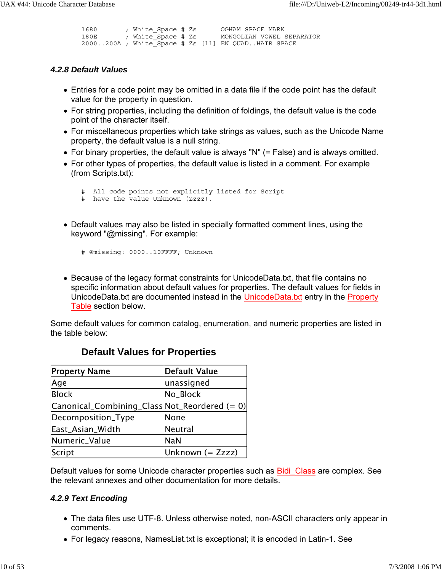| 1680 | ; White Space # Zs | OGHAM SPACE MARK                                   |
|------|--------------------|----------------------------------------------------|
| 180E | ; White Space # Zs | MONGOLIAN VOWEL SEPARATOR                          |
|      |                    | 2000200A ; White Space # Zs [11] EN QUADHAIR SPACE |

#### *4.2.8 Default Values*

- Entries for a code point may be omitted in a data file if the code point has the default value for the property in question.
- For string properties, including the definition of foldings, the default value is the code point of the character itself.
- For miscellaneous properties which take strings as values, such as the Unicode Name property, the default value is a null string.
- For binary properties, the default value is always "N" (= False) and is always omitted.
- For other types of properties, the default value is listed in a comment. For example (from Scripts.txt):

```
# All code points not explicitly listed for Script
# have the value Unknown (Zzzz).
```
Default values may also be listed in specially formatted comment lines, using the keyword "@missing". For example:

```
# @missing: 0000..10FFFF; Unknown
```
Because of the legacy format constraints for UnicodeData.txt, that file contains no specific information about default values for properties. The default values for fields in UnicodeData.txt are documented instead in the UnicodeData.txt entry in the Property Table section below.

Some default values for common catalog, enumeration, and numeric properties are listed in the table below:

| <b>Property Name</b>                                                  | Default Value      |
|-----------------------------------------------------------------------|--------------------|
| Age                                                                   | unassigned         |
| <b>Block</b>                                                          | No_Block           |
| $\vert$ Canonical_Combining_Class $\vert$ Not_Reordered (= 0) $\vert$ |                    |
| Decomposition_Type                                                    | None               |
| East_Asian_Width                                                      | Neutral            |
| Numeric_Value                                                         | NaN                |
| Script                                                                | Unknown $(= Zzzz)$ |

#### **Default Values for Properties**

Default values for some Unicode character properties such as Bidi Class are complex. See the relevant annexes and other documentation for more details.

#### *4.2.9 Text Encoding*

- The data files use UTF-8. Unless otherwise noted, non-ASCII characters only appear in comments.
- For legacy reasons, NamesList.txt is exceptional; it is encoded in Latin-1. See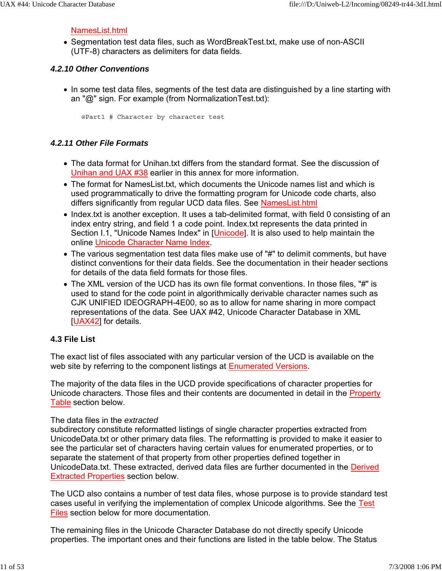#### NamesList.html

• Segmentation test data files, such as WordBreakTest.txt, make use of non-ASCII (UTF-8) characters as delimiters for data fields.

#### *4.2.10 Other Conventions*

In some test data files, segments of the test data are distinguished by a line starting with an "@" sign. For example (from NormalizationTest.txt):

```
@Part1 # Character by character test
```
#### *4.2.11 Other File Formats*

- The data format for Unihan.txt differs from the standard format. See the discussion of Unihan and UAX #38 earlier in this annex for more information.
- The format for NamesList.txt, which documents the Unicode names list and which is used programmatically to drive the formatting program for Unicode code charts, also differs significantly from regular UCD data files. See NamesList.html
- Index.txt is another exception. It uses a tab-delimited format, with field 0 consisting of an index entry string, and field 1 a code point. Index.txt represents the data printed in Section I.1, "Unicode Names Index" in [Unicode]. It is also used to help maintain the online Unicode Character Name Index.
- The various segmentation test data files make use of "#" to delimit comments, but have distinct conventions for their data fields. See the documentation in their header sections for details of the data field formats for those files.
- The XML version of the UCD has its own file format conventions. In those files, "#" is used to stand for the code point in algorithmically derivable character names such as CJK UNIFIED IDEOGRAPH-4E00, so as to allow for name sharing in more compact representations of the data. See UAX #42, Unicode Character Database in XML [UAX42] for details.

#### **4.3 File List**

The exact list of files associated with any particular version of the UCD is available on the web site by referring to the component listings at Enumerated Versions.

The majority of the data files in the UCD provide specifications of character properties for Unicode characters. Those files and their contents are documented in detail in the Property Table section below.

#### The data files in the *extracted*

subdirectory constitute reformatted listings of single character properties extracted from UnicodeData.txt or other primary data files. The reformatting is provided to make it easier to see the particular set of characters having certain values for enumerated properties, or to separate the statement of that property from other properties defined together in UnicodeData.txt. These extracted, derived data files are further documented in the Derived Extracted Properties section below.

The UCD also contains a number of test data files, whose purpose is to provide standard test cases useful in verifying the implementation of complex Unicode algorithms. See the Test Files section below for more documentation.

The remaining files in the Unicode Character Database do not directly specify Unicode properties. The important ones and their functions are listed in the table below. The Status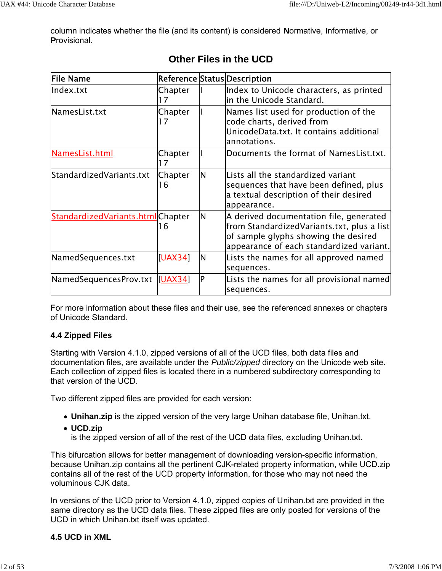column indicates whether the file (and its content) is considered **N**ormative, **I**nformative, or **P**rovisional.

| File Name                        |               |   | <b>Reference Status Description</b>                                                                                                                                       |
|----------------------------------|---------------|---|---------------------------------------------------------------------------------------------------------------------------------------------------------------------------|
| Index.txt                        | Chapter<br>17 |   | Index to Unicode characters, as printed<br>in the Unicode Standard.                                                                                                       |
| NamesList.txt                    | Chapter<br>17 |   | Names list used for production of the<br>code charts, derived from<br>UnicodeData.txt. It contains additional<br>annotations.                                             |
| NamesList.html                   | Chapter<br>17 |   | Documents the format of NamesList.txt.                                                                                                                                    |
| StandardizedVariants.txt         | Chapter<br>16 | N | Lists all the standardized variant<br>sequences that have been defined, plus<br>a textual description of their desired<br>appearance.                                     |
| StandardizedVariants.htmlChapter | 16            | N | A derived documentation file, generated<br>from StandardizedVariants.txt, plus a list<br>of sample glyphs showing the desired<br>appearance of each standardized variant. |
| NamedSequences.txt               | [UAX34]       | N | Lists the names for all approved named<br>sequences.                                                                                                                      |
| NamedSequencesProv.txt [UAX34]   |               | P | Lists the names for all provisional named<br>sequences.                                                                                                                   |

## **Other Files in the UCD**

For more information about these files and their use, see the referenced annexes or chapters of Unicode Standard.

## **4.4 Zipped Files**

Starting with Version 4.1.0, zipped versions of all of the UCD files, both data files and documentation files, are available under the *Public/zipped* directory on the Unicode web site. Each collection of zipped files is located there in a numbered subdirectory corresponding to that version of the UCD.

Two different zipped files are provided for each version:

- **Unihan.zip** is the zipped version of the very large Unihan database file, Unihan.txt.
- **UCD.zip** is the zipped version of all of the rest of the UCD data files, excluding Unihan.txt.

This bifurcation allows for better management of downloading version-specific information, because Unihan.zip contains all the pertinent CJK-related property information, while UCD.zip contains all of the rest of the UCD property information, for those who may not need the voluminous CJK data.

In versions of the UCD prior to Version 4.1.0, zipped copies of Unihan.txt are provided in the same directory as the UCD data files. These zipped files are only posted for versions of the UCD in which Unihan.txt itself was updated.

## **4.5 UCD in XML**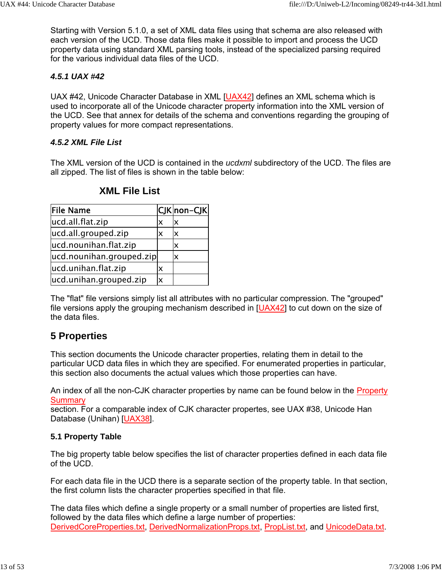Starting with Version 5.1.0, a set of XML data files using that schema are also released with each version of the UCD. Those data files make it possible to import and process the UCD property data using standard XML parsing tools, instead of the specialized parsing required for the various individual data files of the UCD.

#### *4.5.1 UAX #42*

UAX #42, Unicode Character Database in XML [UAX42] defines an XML schema which is used to incorporate all of the Unicode character property information into the XML version of the UCD. See that annex for details of the schema and conventions regarding the grouping of property values for more compact representations.

#### *4.5.2 XML File List*

The XML version of the UCD is contained in the *ucdxml* subdirectory of the UCD. The files are all zipped. The list of files is shown in the table below:

| File Name                |   | <b>CJK</b>  non-CJK       |
|--------------------------|---|---------------------------|
| ucd.all.flat.zip         | X | ΙX                        |
| ucd.all.grouped.zip      | X | Ιx                        |
| ucd.nounihan.flat.zip    |   | $\boldsymbol{\mathsf{x}}$ |
| ucd.nounihan.grouped.zip |   | $\boldsymbol{\mathsf{x}}$ |
| ucd.unihan.flat.zip      | x |                           |
| ucd.unihan.grouped.zip   | x |                           |

## **XML File List**

The "flat" file versions simply list all attributes with no particular compression. The "grouped" file versions apply the grouping mechanism described in [UAX42] to cut down on the size of the data files.

## **5 Properties**

This section documents the Unicode character properties, relating them in detail to the particular UCD data files in which they are specified. For enumerated properties in particular, this section also documents the actual values which those properties can have.

An index of all the non-CJK character properties by name can be found below in the Property **Summarv** 

section. For a comparable index of CJK character propertes, see UAX #38, Unicode Han Database (Unihan) [UAX38].

#### **5.1 Property Table**

The big property table below specifies the list of character properties defined in each data file of the UCD.

For each data file in the UCD there is a separate section of the property table. In that section, the first column lists the character properties specified in that file.

The data files which define a single property or a small number of properties are listed first, followed by the data files which define a large number of properties: DerivedCoreProperties.txt, DerivedNormalizationProps.txt, PropList.txt, and UnicodeData.txt.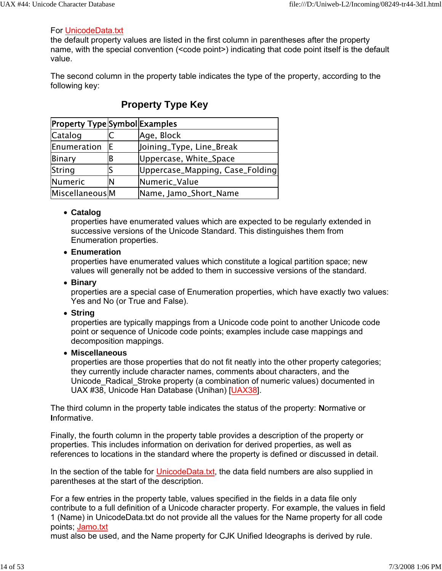#### For UnicodeData.txt

the default property values are listed in the first column in parentheses after the property name, with the special convention (<code point>) indicating that code point itself is the default value.

The second column in the property table indicates the type of the property, according to the following key:

| Property Type Symbol Examples |    |                                 |
|-------------------------------|----|---------------------------------|
| Catalog                       |    | Age, Block                      |
| Enumeration                   | ΙE | Joining_Type, Line_Break        |
| Binary                        |    | Uppercase, White_Space          |
| <b>String</b>                 |    | Uppercase_Mapping, Case_Folding |
| Numeric                       |    | Numeric_Value                   |
| Miscellaneous <sup>M</sup>    |    | Name, Jamo_Short_Name           |

## **Property Type Key**

#### **Catalog**

properties have enumerated values which are expected to be regularly extended in successive versions of the Unicode Standard. This distinguishes them from Enumeration properties.

#### **Enumeration**

properties have enumerated values which constitute a logical partition space; new values will generally not be added to them in successive versions of the standard.

#### **Binary**

properties are a special case of Enumeration properties, which have exactly two values: Yes and No (or True and False).

#### **String**

properties are typically mappings from a Unicode code point to another Unicode code point or sequence of Unicode code points; examples include case mappings and decomposition mappings.

#### **Miscellaneous**

properties are those properties that do not fit neatly into the other property categories; they currently include character names, comments about characters, and the Unicode\_Radical\_Stroke property (a combination of numeric values) documented in UAX #38, Unicode Han Database (Unihan) [UAX38].

The third column in the property table indicates the status of the property: **N**ormative or **I**nformative.

Finally, the fourth column in the property table provides a description of the property or properties. This includes information on derivation for derived properties, as well as references to locations in the standard where the property is defined or discussed in detail.

In the section of the table for *UnicodeData.txt*, the data field numbers are also supplied in parentheses at the start of the description.

For a few entries in the property table, values specified in the fields in a data file only contribute to a full definition of a Unicode character property. For example, the values in field 1 (Name) in UnicodeData.txt do not provide all the values for the Name property for all code points; Jamo.txt

must also be used, and the Name property for CJK Unified Ideographs is derived by rule.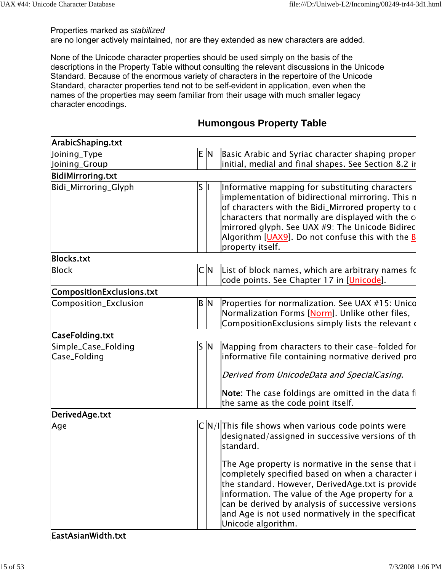Properties marked as *stabilized*

are no longer actively maintained, nor are they extended as new characters are added.

None of the Unicode character properties should be used simply on the basis of the descriptions in the Property Table without consulting the relevant discussions in the Unicode Standard. Because of the enormous variety of characters in the repertoire of the Unicode Standard, character properties tend not to be self-evident in application, even when the names of the properties may seem familiar from their usage with much smaller legacy character encodings.

| ArabicShaping.txt                   |              |            |                                                                                                                                                                                                                                                                                                                                            |
|-------------------------------------|--------------|------------|--------------------------------------------------------------------------------------------------------------------------------------------------------------------------------------------------------------------------------------------------------------------------------------------------------------------------------------------|
| Joining_Type                        |              | E N        | Basic Arabic and Syriac character shaping proper                                                                                                                                                                                                                                                                                           |
| Joining_Group                       |              |            | initial, medial and final shapes. See Section 8.2 in                                                                                                                                                                                                                                                                                       |
| <b>BidiMirroring.txt</b>            |              |            |                                                                                                                                                                                                                                                                                                                                            |
| Bidi_Mirroring_Glyph                | $\mathsf{S}$ |            | Informative mapping for substituting characters<br>implementation of bidirectional mirroring. This n<br>of characters with the Bidi_Mirrored property to o<br>characters that normally are displayed with the c<br>mirrored glyph. See UAX #9: The Unicode Bidirec<br>Algorithm [UAX9]. Do not confuse this with the B<br>property itself. |
| <b>Blocks.txt</b>                   |              |            |                                                                                                                                                                                                                                                                                                                                            |
| Block                               |              | $C\vert N$ | List of block names, which are arbitrary names fo<br>code points. See Chapter 17 in [Unicode].                                                                                                                                                                                                                                             |
| CompositionExclusions.txt           |              |            |                                                                                                                                                                                                                                                                                                                                            |
| Composition_Exclusion               |              | B N        | Properties for normalization. See UAX #15: Unico<br>Normalization Forms [Norm]. Unlike other files,<br>CompositionExclusions simply lists the relevant of                                                                                                                                                                                  |
| CaseFolding.txt                     |              |            |                                                                                                                                                                                                                                                                                                                                            |
| Simple_Case_Folding<br>Case_Folding | S            | N          | Mapping from characters to their case-folded for<br>informative file containing normative derived pro<br>Derived from UnicodeData and SpecialCasing.<br>Note: The case foldings are omitted in the data f<br>the same as the code point itself.                                                                                            |
| DerivedAge.txt                      |              |            |                                                                                                                                                                                                                                                                                                                                            |
| Age                                 |              |            | $C$ N/I This file shows when various code points were<br>designated/assigned in successive versions of th<br>standard.<br>The Age property is normative in the sense that i<br>completely specified based on when a character i                                                                                                            |
|                                     |              |            | the standard. However, DerivedAge.txt is provide<br>information. The value of the Age property for a<br>can be derived by analysis of successive versions<br>and Age is not used normatively in the specificat<br>Unicode algorithm.                                                                                                       |
| EastAsianWidth.txt                  |              |            |                                                                                                                                                                                                                                                                                                                                            |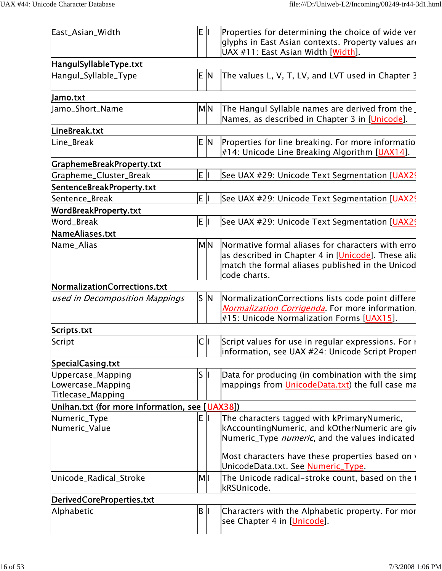| East_Asian_Width                                            | ΕIΙ                     |            | Properties for determining the choice of wide ver<br>glyphs in East Asian contexts. Property values are<br>UAX #11: East Asian Width [Width].                                                                                                    |
|-------------------------------------------------------------|-------------------------|------------|--------------------------------------------------------------------------------------------------------------------------------------------------------------------------------------------------------------------------------------------------|
| HangulSyllableType.txt                                      |                         |            |                                                                                                                                                                                                                                                  |
| Hangul_Syllable_Type                                        |                         | E N        | The values L, V, T, LV, and LVT used in Chapter 3                                                                                                                                                                                                |
| Jamo.txt                                                    |                         |            |                                                                                                                                                                                                                                                  |
| Jamo_Short_Name                                             |                         | <b>MN</b>  | The Hangul Syllable names are derived from the $\overline{\ }$<br>Names, as described in Chapter 3 in [Unicode].                                                                                                                                 |
| LineBreak.txt                                               |                         |            |                                                                                                                                                                                                                                                  |
| Line_Break                                                  |                         | E N        | Properties for line breaking. For more informatio<br>#14: Unicode Line Breaking Algorithm [UAX14].                                                                                                                                               |
| GraphemeBreakProperty.txt                                   |                         |            |                                                                                                                                                                                                                                                  |
| Grapheme_Cluster_Break                                      | ΕIΙ                     |            | See UAX #29: Unicode Text Segmentation [UAX2!                                                                                                                                                                                                    |
| SentenceBreakProperty.txt                                   |                         |            |                                                                                                                                                                                                                                                  |
| Sentence_Break                                              | ЕII                     |            | See UAX #29: Unicode Text Segmentation [UAX2!                                                                                                                                                                                                    |
| WordBreakProperty.txt                                       |                         |            |                                                                                                                                                                                                                                                  |
| Word_Break                                                  | ΕIΙ                     |            | See UAX #29: Unicode Text Segmentation [UAX2!                                                                                                                                                                                                    |
| NameAliases.txt                                             |                         |            |                                                                                                                                                                                                                                                  |
| Name_Alias                                                  |                         | <b>MN</b>  | Normative formal aliases for characters with erro<br>as described in Chapter 4 in [Unicode]. These alia<br>match the formal aliases published in the Unicod<br>code charts.                                                                      |
| NormalizationCorrections.txt                                |                         |            |                                                                                                                                                                                                                                                  |
| used in Decomposition Mappings                              |                         | $S\vert N$ | NormalizationCorrections lists code point differe<br>Normalization Corrigenda. For more information.<br>#15: Unicode Normalization Forms [UAX15].                                                                                                |
| Scripts.txt                                                 |                         |            |                                                                                                                                                                                                                                                  |
| Script                                                      | $\subset \vert I \vert$ |            | Script values for use in regular expressions. For 1<br>information, see UAX #24: Unicode Script Proper                                                                                                                                           |
| SpecialCasing.txt                                           |                         |            |                                                                                                                                                                                                                                                  |
| Uppercase_Mapping<br>Lowercase_Mapping<br>Titlecase_Mapping | $\mathsf{S}$            |            | Data for producing (in combination with the simp<br>mappings from UnicodeData.txt) the full case ma                                                                                                                                              |
| Unihan.txt (for more information, see [UAX38])              |                         |            |                                                                                                                                                                                                                                                  |
| Numeric_Type<br>Numeric_Value                               | ΕIΙ                     |            | The characters tagged with kPrimaryNumeric,<br>kAccountingNumeric, and kOtherNumeric are giv<br>Numeric_Type <i>numeric</i> , and the values indicated<br>Most characters have these properties based on v<br>UnicodeData.txt. See Numeric_Type. |
| Unicode_Radical_Stroke                                      | МI                      |            | The Unicode radical-stroke count, based on the 1<br>kRSUnicode.                                                                                                                                                                                  |
| DerivedCoreProperties.txt                                   |                         |            |                                                                                                                                                                                                                                                  |
| Alphabetic                                                  | ΒI                      |            | Characters with the Alphabetic property. For mor<br>see Chapter 4 in [Unicode].                                                                                                                                                                  |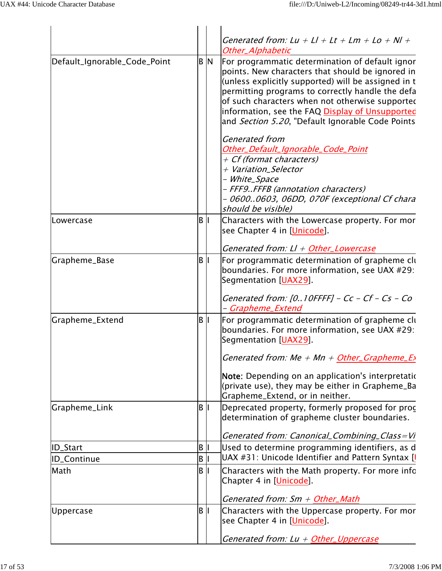|                              |          |     | Generated from: Lu + Ll + Lt + Lm + Lo + Nl +<br><b>Other_Alphabetic</b>                                                                                                                                                                                                                                                                                                                                                                                                                                            |
|------------------------------|----------|-----|---------------------------------------------------------------------------------------------------------------------------------------------------------------------------------------------------------------------------------------------------------------------------------------------------------------------------------------------------------------------------------------------------------------------------------------------------------------------------------------------------------------------|
| Default_Ignorable_Code_Point |          | B N | For programmatic determination of default ignor<br>points. New characters that should be ignored in<br>(unless explicitly supported) will be assigned in t<br>permitting programs to correctly handle the defa<br>of such characters when not otherwise supportec<br>information, see the FAQ Display of Unsupported<br>and Section 5.20, "Default Ignorable Code Points<br><i><b>Generated from</b></i><br>Other_Default_Ignorable_Code_Point<br>+ Cf (format characters)<br>+ Variation_Selector<br>- White_Space |
|                              |          |     | - FFF9FFFB (annotation characters)<br>- 06000603, 06DD, 070F (exceptional Cf chara<br>should be visible)                                                                                                                                                                                                                                                                                                                                                                                                            |
| ILowercase                   | $B$      |     | Characters with the Lowercase property. For mor<br>see Chapter 4 in [Unicode].                                                                                                                                                                                                                                                                                                                                                                                                                                      |
| Grapheme_Base                | $B$      |     | Generated from: LI + Other_Lowercase<br>For programmatic determination of grapheme clu<br>boundaries. For more information, see UAX #29:<br>Segmentation [UAX29].                                                                                                                                                                                                                                                                                                                                                   |
|                              |          |     | Generated from: [010FFFF] - Cc - Cf - Cs - Co<br>- Grapheme_Extend                                                                                                                                                                                                                                                                                                                                                                                                                                                  |
| Grapheme_Extend              | BII      |     | For programmatic determination of grapheme clu<br>boundaries. For more information, see UAX #29:<br>Segmentation [UAX29].<br>Generated from: Me + Mn + Other_Grapheme_Ex                                                                                                                                                                                                                                                                                                                                            |
|                              |          |     | Note: Depending on an application's interpretatic<br>(private use), they may be either in Grapheme_Ba<br>Grapheme_Extend, or in neither.                                                                                                                                                                                                                                                                                                                                                                            |
| Grapheme_Link                | B II     |     | Deprecated property, formerly proposed for proc<br>determination of grapheme cluster boundaries.                                                                                                                                                                                                                                                                                                                                                                                                                    |
|                              |          |     | Generated from: Canonical_Combining_Class=Vi                                                                                                                                                                                                                                                                                                                                                                                                                                                                        |
| ID_Start                     | ΒI<br>BΙ |     | Used to determine programming identifiers, as d<br>UAX #31: Unicode Identifier and Pattern Syntax [I                                                                                                                                                                                                                                                                                                                                                                                                                |
| ID_Continue<br>Math          | BΙ       |     | Characters with the Math property. For more info<br>Chapter 4 in [Unicode].                                                                                                                                                                                                                                                                                                                                                                                                                                         |
|                              |          |     | Generated from: Sm + Other_Math                                                                                                                                                                                                                                                                                                                                                                                                                                                                                     |
| Uppercase                    | BII      |     | Characters with the Uppercase property. For mor<br>see Chapter 4 in [Unicode].                                                                                                                                                                                                                                                                                                                                                                                                                                      |
|                              |          |     | Generated from: $Lu + Other_L U_{\text{D}}$                                                                                                                                                                                                                                                                                                                                                                                                                                                                         |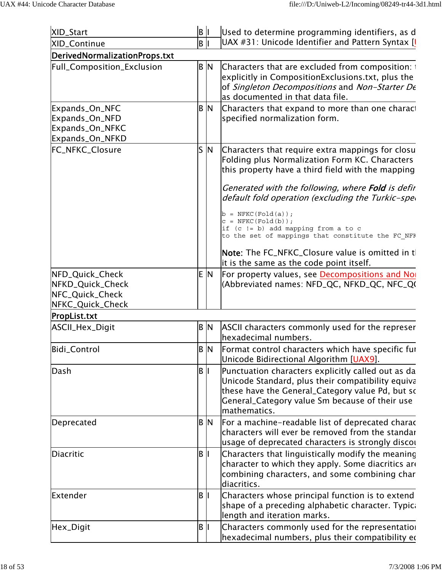| XID_Start                                                                  | $B$            |            | Used to determine programming identifiers, as d                                                                                                                                                                               |
|----------------------------------------------------------------------------|----------------|------------|-------------------------------------------------------------------------------------------------------------------------------------------------------------------------------------------------------------------------------|
| XID_Continue                                                               | $\overline{B}$ |            | UAX #31: Unicode Identifier and Pattern Syntax [I                                                                                                                                                                             |
| DerivedNormalizationProps.txt                                              |                |            |                                                                                                                                                                                                                               |
| Full_Composition_Exclusion                                                 |                | B N        | Characters that are excluded from composition: 1<br>explicitly in CompositionExclusions.txt, plus the<br>of Singleton Decompositions and Non-Starter De<br>as documented in that data file.                                   |
| Expands_On_NFC<br>Expands_On_NFD<br>Expands_On_NFKC<br>Expands_On_NFKD     |                | B N        | Characters that expand to more than one charact<br>specified normalization form.                                                                                                                                              |
| FC_NFKC_Closure                                                            | S              | N          | Characters that require extra mappings for closu<br>Folding plus Normalization Form KC. Characters<br>this property have a third field with the mapping                                                                       |
|                                                                            |                |            | Generated with the following, where Fold is defir<br>default fold operation (excluding the Turkic-sped                                                                                                                        |
|                                                                            |                |            | $b = NFKC(Fold(a));$<br>$c = NFKC(Fold(b));$<br>if (c != b) add mapping from a to c<br>to the set of mappings that constitute the FC NFF                                                                                      |
|                                                                            |                |            | Note: The FC_NFKC_Closure value is omitted in t<br>it is the same as the code point itself.                                                                                                                                   |
| NFD_Quick_Check<br>NFKD_Quick_Check<br>NFC_Quick_Check<br>NFKC_Quick_Check |                | E N        | For property values, see Decompositions and Not<br>(Abbreviated names: NFD_QC, NFKD_QC, NFC_Q(                                                                                                                                |
| PropList.txt                                                               |                |            |                                                                                                                                                                                                                               |
| ASCII_Hex_Digit                                                            |                | B N        | ASCII characters commonly used for the represer<br>hexadecimal numbers.                                                                                                                                                       |
| Bidi_Control                                                               |                | $B \mid N$ | Format control characters which have specific fur<br>Unicode Bidirectional Algorithm [UAX9].                                                                                                                                  |
| Dash                                                                       | B II           |            | Punctuation characters explicitly called out as da<br>Unicode Standard, plus their compatibility equiva<br>these have the General_Category value Pd, but sc<br>General_Category value Sm because of their use<br>mathematics. |
| Deprecated                                                                 |                | B N        | For a machine-readable list of deprecated charac<br>characters will ever be removed from the standar<br>usage of deprecated characters is strongly discou                                                                     |
| Diacritic                                                                  | ΒI             |            | Characters that linguistically modify the meaning<br>character to which they apply. Some diacritics are<br>combining characters, and some combining char<br>diacritics.                                                       |
| Extender                                                                   | ΒI             |            | Characters whose principal function is to extend<br>shape of a preceding alphabetic character. Typic.<br>length and iteration marks.                                                                                          |
| Hex_Digit                                                                  | B II           |            | Characters commonly used for the representation<br>hexadecimal numbers, plus their compatibility ed                                                                                                                           |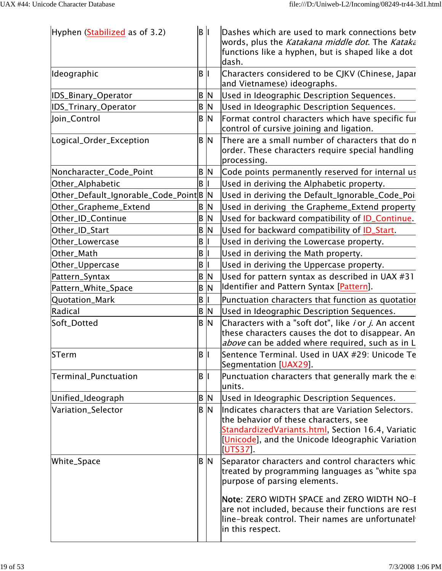| Hyphen (Stabilized as of 3.2)          | $B$ |                | Dashes which are used to mark connections betw<br>words, plus the <i>Katakana middle dot</i> . The Kataka<br>functions like a hyphen, but is shaped like a dot<br>dash.                                             |
|----------------------------------------|-----|----------------|---------------------------------------------------------------------------------------------------------------------------------------------------------------------------------------------------------------------|
| Ideographic                            | B.  |                | Characters considered to be CJKV (Chinese, Japar<br>and Vietnamese) ideographs.                                                                                                                                     |
| IDS_Binary_Operator                    | B N |                | Used in Ideographic Description Sequences.                                                                                                                                                                          |
| IDS_Trinary_Operator                   | B   | N              | Used in Ideographic Description Sequences.                                                                                                                                                                          |
| Join_Control                           | B   | <b>N</b>       | Format control characters which have specific fur<br>control of cursive joining and ligation.                                                                                                                       |
| Logical_Order_Exception                |     | B <sub>N</sub> | There are a small number of characters that do n<br>order. These characters require special handling<br>processing.                                                                                                 |
| Noncharacter_Code_Point                | B   | N              | Code points permanently reserved for internal us                                                                                                                                                                    |
| Other_Alphabetic                       | B   |                | Used in deriving the Alphabetic property.                                                                                                                                                                           |
| Other_Default_Ignorable_Code_Point B N |     |                | Used in deriving the Default_Ignorable_Code_Poil                                                                                                                                                                    |
| Other_Grapheme_Extend                  | B   | N              | Used in deriving the Grapheme_Extend property                                                                                                                                                                       |
| Other_ID_Continue                      | B   | N              | Used for backward compatibility of ID_Continue.                                                                                                                                                                     |
| Other_ID_Start                         | B   | N              | Used for backward compatibility of <b>ID_Start</b> .                                                                                                                                                                |
| Other_Lowercase                        | B   |                | Used in deriving the Lowercase property.                                                                                                                                                                            |
| Other_Math                             | B   |                | Used in deriving the Math property.                                                                                                                                                                                 |
| Other_Uppercase                        | B   |                | Used in deriving the Uppercase property.                                                                                                                                                                            |
| Pattern_Syntax                         | B   | N              | Used for pattern syntax as described in UAX #31                                                                                                                                                                     |
| Pattern_White_Space                    | B   | ΙN             | Identifier and Pattern Syntax <u>[Pattern</u> ].                                                                                                                                                                    |
| Quotation_Mark                         | B   |                | Punctuation characters that function as quotatior                                                                                                                                                                   |
| Radical                                | B   | N              | Used in Ideographic Description Sequences.                                                                                                                                                                          |
| Soft_Dotted                            |     | <b>B</b> N     | Characters with a "soft dot", like <i>i</i> or <i>j</i> . An accent<br>these characters causes the dot to disappear. An<br>above can be added where required, such as in L                                          |
| STerm                                  | B   |                | Sentence Terminal. Used in UAX #29: Unicode Te<br>Segmentation [UAX29].                                                                                                                                             |
| Terminal_Punctuation                   | B   |                | Punctuation characters that generally mark the e<br>units.                                                                                                                                                          |
| Unified_Ideograph                      |     | B N            | Used in Ideographic Description Sequences.                                                                                                                                                                          |
| Variation_Selector                     |     | B N            | Indicates characters that are Variation Selectors.<br>the behavior of these characters, see<br>StandardizedVariants.html, Section 16.4, Variatic<br>[Unicode], and the Unicode Ideographic Variation<br>$[UTS37]$ . |
| White_Space                            |     | B N            | Separator characters and control characters whic<br>treated by programming languages as "white spa<br>purpose of parsing elements.                                                                                  |
|                                        |     |                | Note: ZERO WIDTH SPACE and ZERO WIDTH NO-E<br>are not included, because their functions are rest<br>lline-break control. Their names are unfortunatel<br>in this respect.                                           |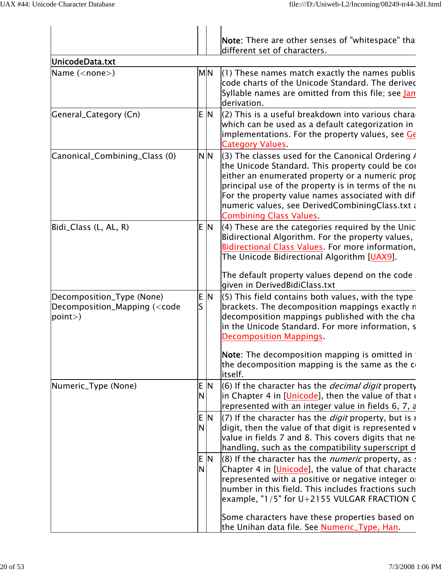|                                                                                                    |   |         | Note: There are other senses of "whitespace" tha<br>different set of characters.                                                                                                                                                                                                                                                                                              |
|----------------------------------------------------------------------------------------------------|---|---------|-------------------------------------------------------------------------------------------------------------------------------------------------------------------------------------------------------------------------------------------------------------------------------------------------------------------------------------------------------------------------------|
| UnicodeData.txt                                                                                    |   |         |                                                                                                                                                                                                                                                                                                                                                                               |
| $\mathsf{Name}\left\langle \mathsf{$                                                               |   | MN      | $(1)$ These names match exactly the names publis<br>code charts of the Unicode Standard. The derivec<br>Syllable names are omitted from this file; see Jan<br>derivation.                                                                                                                                                                                                     |
| General_Category (Cn)                                                                              |   | E N     | (2) This is a useful breakdown into various chara<br>which can be used as a default categorization in<br>implementations. For the property values, see $Ge$<br><b>Category Values</b>                                                                                                                                                                                         |
| Canonical_Combining_Class (0)                                                                      |   | $N$ $N$ | (3) The classes used for the Canonical Ordering $\ell$<br>the Unicode Standard. This property could be cor<br>either an enumerated property or a numeric prop<br>principal use of the property is in terms of the nu<br>For the property value names associated with dif<br>numeric values, see DerivedCombiningClass.txt a<br><b>Combining Class Values.</b>                 |
| Bidi_Class (L, AL, R)                                                                              |   | E N     | (4) These are the categories required by the Unic<br>Bidirectional Algorithm. For the property values,<br>Bidirectional Class Values. For more information,<br>The Unicode Bidirectional Algorithm [UAX9].<br>The default property values depend on the code<br>given in DerivedBidiClass.txt                                                                                 |
| Decomposition_Type (None)<br>Decomposition_Mapping ( <code<br><math> point\rangle</math></code<br> | S | e N     | (5) This field contains both values, with the type<br>brackets. The decomposition mappings exactly n<br>decomposition mappings published with the cha<br>in the Unicode Standard. For more information, s<br><b>Decomposition Mappings.</b><br>Note: The decomposition mapping is omitted in<br>the decomposition mapping is the same as the $c_1$<br>itself.                 |
| Numeric_Type (None)                                                                                | N | E N     | (6) If the character has the <i>decimal digit</i> property<br>in Chapter 4 in [Unicode], then the value of that a<br>represented with an integer value in fields 6, 7, a                                                                                                                                                                                                      |
|                                                                                                    | N | E N     | (7) If the character has the <i>digit</i> property, but is $\mathbf{r}$<br>digit, then the value of that digit is represented v<br>value in fields 7 and 8. This covers digits that ne<br>handling, such as the compatibility superscript d                                                                                                                                   |
|                                                                                                    | N | E N     | (8) If the character has the <i>numeric</i> property, as :<br>Chapter 4 in [Unicode], the value of that characte<br>represented with a positive or negative integer of<br>number in this field. This includes fractions such<br>example, "1/5" for U+2155 VULGAR FRACTION C<br>Some characters have these properties based on<br>the Unihan data file. See Numeric_Type, Han. |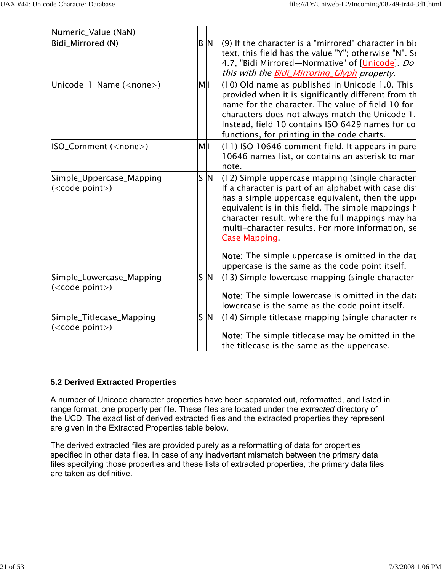| Numeric_Value (NaN)                                           |    |             |                                                                                                                                                                                                                                                                                                                                                                                                   |
|---------------------------------------------------------------|----|-------------|---------------------------------------------------------------------------------------------------------------------------------------------------------------------------------------------------------------------------------------------------------------------------------------------------------------------------------------------------------------------------------------------------|
| Bidi_Mirrored (N)                                             |    | B N         | $(9)$ If the character is a "mirrored" character in bior<br>text, this field has the value "Y"; otherwise "N". So<br>4.7, "Bidi Mirrored—Normative" of [Unicode]. Do<br>this with the Bidi_Mirroring_Glyph property.                                                                                                                                                                              |
| Unicode_1_Name ( <none>)</none>                               | МI |             | $(10)$ Old name as published in Unicode 1.0. This<br>provided when it is significantly different from th<br>name for the character. The value of field 10 for<br>characters does not always match the Unicode 1.<br>Instead, field 10 contains ISO 6429 names for co<br>functions, for printing in the code charts.                                                                               |
| ISO_Comment ( <none>)</none>                                  | МI |             | $(11)$ ISO 10646 comment field. It appears in pare<br>10646 names list, or contains an asterisk to mar<br>note.                                                                                                                                                                                                                                                                                   |
| Simple_Uppercase_Mapping<br>$(<$ code point>)                 |    | $S \mid N$  | $(12)$ Simple uppercase mapping (single character<br>If a character is part of an alphabet with case dis-<br>has a simple uppercase equivalent, then the uppe<br>equivalent is in this field. The simple mappings h<br>character result, where the full mappings may ha<br>multi-character results. For more information, se<br>Case Mapping.<br>Note: The simple uppercase is omitted in the dat |
|                                                               |    |             | uppercase is the same as the code point itself.                                                                                                                                                                                                                                                                                                                                                   |
| Simple_Lowercase_Mapping<br>$\vert$ ( <code point="">)</code> |    | IS IN       | $(13)$ Simple lowercase mapping (single character                                                                                                                                                                                                                                                                                                                                                 |
|                                                               |    |             | <b>Note:</b> The simple lowercase is omitted in the data<br>lowercase is the same as the code point itself.                                                                                                                                                                                                                                                                                       |
| Simple_Titlecase_Mapping                                      |    | $S \vert N$ | $(14)$ Simple titlecase mapping (single character $\kappa$                                                                                                                                                                                                                                                                                                                                        |
| $ $ ( <code point="">)</code>                                 |    |             | Note: The simple titlecase may be omitted in the<br>the titlecase is the same as the uppercase.                                                                                                                                                                                                                                                                                                   |

#### **5.2 Derived Extracted Properties**

A number of Unicode character properties have been separated out, reformatted, and listed in range format, one property per file. These files are located under the *extracted* directory of the UCD. The exact list of derived extracted files and the extracted properties they represent are given in the Extracted Properties table below.

The derived extracted files are provided purely as a reformatting of data for properties specified in other data files. In case of any inadvertant mismatch between the primary data files specifying those properties and these lists of extracted properties, the primary data files are taken as definitive.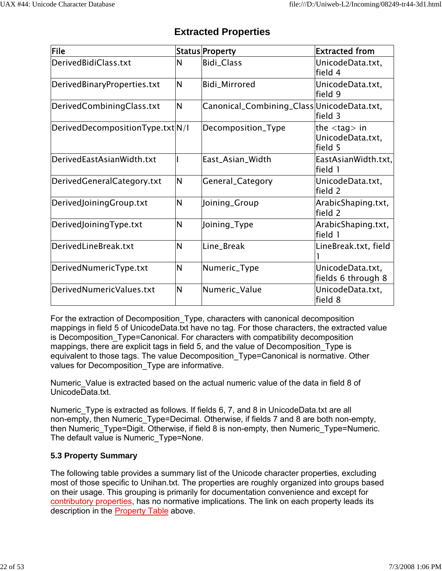## **Extracted Properties**

| <b>File</b>                     |   | <b>Status Property</b>                     | <b>Extracted from</b>                             |
|---------------------------------|---|--------------------------------------------|---------------------------------------------------|
| DerivedBidiClass.txt            | N | Bidi_Class                                 | UnicodeData.txt,<br>lfield 4                      |
| DerivedBinaryProperties.txt     | N | Bidi_Mirrored                              | UnicodeData.txt,<br>field 9                       |
| DerivedCombiningClass.txt       | N | Canonical_Combining_Class UnicodeData.txt, | field 3                                           |
| DerivedDecompositionType.txtN/I |   | Decomposition_Type                         | the $<$ tag $>$ in<br>UnicodeData.txt,<br>field 5 |
| DerivedEastAsianWidth.txt       |   | East_Asian_Width                           | EastAsianWidth.txt,<br>field 1                    |
| DerivedGeneralCategory.txt      | N | General_Category                           | UnicodeData.txt,<br>field 2                       |
| DerivedJoiningGroup.txt         | N | Joining_Group                              | ArabicShaping.txt,<br>field 2                     |
| DerivedJoiningType.txt          | N | Joining_Type                               | ArabicShaping.txt,<br>field 1                     |
| DerivedLineBreak.txt            | N | Line_Break                                 | LineBreak.txt, field                              |
| DerivedNumericType.txt          | N | Numeric_Type                               | UnicodeData.txt,<br>fields 6 through 8            |
| DerivedNumericValues.txt        | N | Numeric_Value                              | UnicodeData.txt,<br>field 8                       |

For the extraction of Decomposition\_Type, characters with canonical decomposition mappings in field 5 of UnicodeData.txt have no tag. For those characters, the extracted value is Decomposition Type=Canonical. For characters with compatibility decomposition mappings, there are explicit tags in field 5, and the value of Decomposition\_Type is equivalent to those tags. The value Decomposition\_Type=Canonical is normative. Other values for Decomposition\_Type are informative.

Numeric\_Value is extracted based on the actual numeric value of the data in field 8 of UnicodeData.txt.

Numeric\_Type is extracted as follows. If fields 6, 7, and 8 in UnicodeData.txt are all non-empty, then Numeric\_Type=Decimal. Otherwise, if fields 7 and 8 are both non-empty, then Numeric Type=Digit. Otherwise, if field 8 is non-empty, then Numeric Type=Numeric. The default value is Numeric\_Type=None.

#### **5.3 Property Summary**

The following table provides a summary list of the Unicode character properties, excluding most of those specific to Unihan.txt. The properties are roughly organized into groups based on their usage. This grouping is primarily for documentation convenience and except for contributory properties, has no normative implications. The link on each property leads its description in the Property Table above.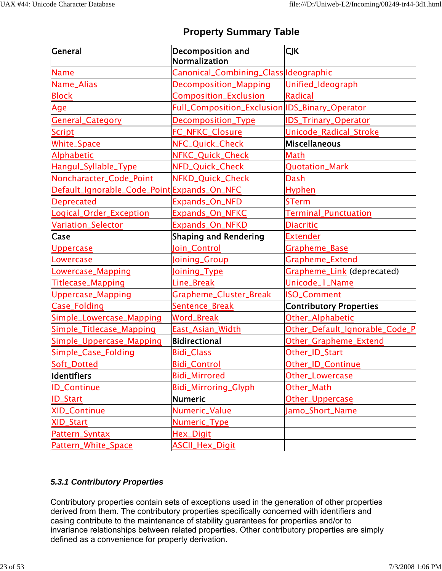## **Property Summary Table**

| General                                    | Decomposition and<br><b>Normalization</b>      | <b>CJK</b>                     |
|--------------------------------------------|------------------------------------------------|--------------------------------|
| <b>Name</b>                                | Canonical_Combining_Class Ideographic          |                                |
| Name_Alias                                 | <b>Decomposition_Mapping</b>                   | Unified_Ideograph              |
| <b>Block</b>                               | Composition_Exclusion                          | <b>Radical</b>                 |
| <u>Age</u>                                 | Full_Composition_Exclusion IDS_Binary_Operator |                                |
| <b>General_Category</b>                    | Decomposition_Type                             | <b>IDS_Trinary_Operator</b>    |
| <b>Script</b>                              | FC_NFKC_Closure                                | Unicode_Radical_Stroke         |
| <b>White_Space</b>                         | NFC_Quick_Check                                | <b>Miscellaneous</b>           |
| <b>Alphabetic</b>                          | NFKC_Quick_Check                               | Math                           |
| Hangul_Syllable_Type                       | NFD_Quick_Check                                | Quotation_Mark                 |
| Noncharacter_Code_Point                    | NFKD_Quick_Check                               | Dash                           |
| Default_Ignorable_Code_PointExpands_On_NFC |                                                | <b>Hyphen</b>                  |
| <b>Deprecated</b>                          | Expands_On_NFD                                 | <b>STerm</b>                   |
| Logical_Order_Exception                    | Expands_On_NFKC                                | Terminal_Punctuation           |
| Variation_Selector                         | Expands_On_NFKD                                | <b>Diacritic</b>               |
| Case                                       | <b>Shaping and Rendering</b>                   | <b>Extender</b>                |
| <b>Uppercase</b>                           | Join_Control                                   | Grapheme_Base                  |
| Lowercase                                  | Joining_Group                                  | Grapheme_Extend                |
| Lowercase_Mapping                          | Joining_Type                                   | Grapheme_Link (deprecated)     |
| Titlecase_Mapping                          | Line_Break                                     | Unicode_1_Name                 |
| Uppercase_Mapping                          | Grapheme_Cluster_Break                         | <b>ISO_Comment</b>             |
| Case_Folding                               | Sentence_Break                                 | <b>Contributory Properties</b> |
| Simple_Lowercase_Mapping                   | <b>Word_Break</b>                              | Other_Alphabetic               |
| Simple_Titlecase_Mapping                   | East_Asian_Width                               | Other_Default_Ignorable_Code_P |
| Simple_Uppercase_Mapping                   | <b>Bidirectional</b>                           | Other_Grapheme_Extend          |
| Simple_Case_Folding                        | Bidi_Class                                     | Other_ID_Start                 |
| Soft_Dotted                                | <b>Bidi_Control</b>                            | Other_ID_Continue              |
| ldentifiers                                | <b>Bidi_Mirrored</b>                           | Other_Lowercase                |
| <b>ID_Continue</b>                         | Bidi_Mirroring_Glyph                           | Other_Math                     |
| <b>ID_Start</b>                            | <b>Numeric</b>                                 | Other_Uppercase                |
| XID_Continue                               | Numeric_Value                                  | Jamo_Short_Name                |
| <b>XID_Start</b>                           | Numeric_Type                                   |                                |
| Pattern_Syntax                             | Hex_Digit                                      |                                |
| Pattern_White_Space                        | ASCII_Hex_Digit                                |                                |

## *5.3.1 Contributory Properties*

Contributory properties contain sets of exceptions used in the generation of other properties derived from them. The contributory properties specifically concerned with identifiers and casing contribute to the maintenance of stability guarantees for properties and/or to invariance relationships between related properties. Other contributory properties are simply defined as a convenience for property derivation.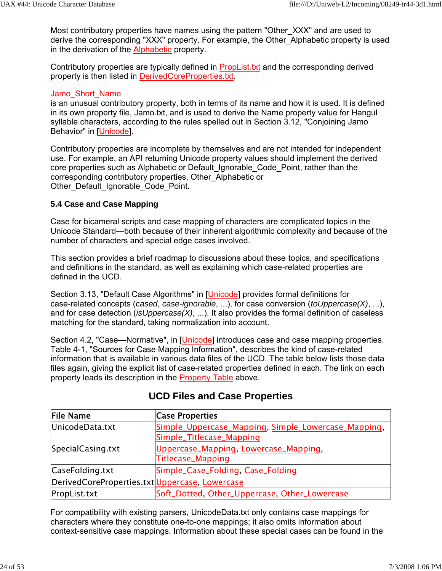Most contributory properties have names using the pattern "Other\_XXX" and are used to derive the corresponding "XXX" property. For example, the Other\_Alphabetic property is used in the derivation of the Alphabetic property.

Contributory properties are typically defined in PropList.txt and the corresponding derived property is then listed in DerivedCoreProperties.txt.

#### Jamo\_Short\_Name

is an unusual contributory property, both in terms of its name and how it is used. It is defined in its own property file, Jamo.txt, and is used to derive the Name property value for Hangul syllable characters, according to the rules spelled out in Section 3.12, "Conjoining Jamo Behavior" in [Unicode].

Contributory properties are incomplete by themselves and are not intended for independent use. For example, an API returning Unicode property values should implement the derived core properties such as Alphabetic or Default\_Ignorable\_Code\_Point, rather than the corresponding contributory properties, Other\_Alphabetic or Other\_Default\_Ignorable\_Code\_Point.

#### **5.4 Case and Case Mapping**

Case for bicameral scripts and case mapping of characters are complicated topics in the Unicode Standard—both because of their inherent algorithmic complexity and because of the number of characters and special edge cases involved.

This section provides a brief roadmap to discussions about these topics, and specifications and definitions in the standard, as well as explaining which case-related properties are defined in the UCD.

Section 3.13, "Default Case Algorithms" in [Unicode] provides formal definitions for case-related concepts (*cased*, *case-ignorable*, ...), for case conversion (*toUppercase(X)*, ...), and for case detection (*isUppercase(X)*, ...). It also provides the formal definition of caseless matching for the standard, taking normalization into account.

Section 4.2, "Case—Normative", in [Unicode] introduces case and case mapping properties. Table 4-1, "Sources for Case Mapping Information", describes the kind of case-related information that is available in various data files of the UCD. The table below lists those data files again, giving the explicit list of case-related properties defined in each. The link on each property leads its description in the Property Table above.

| <b>File Name</b>                              | Case Properties                                                                 |
|-----------------------------------------------|---------------------------------------------------------------------------------|
| UnicodeData.txt                               | Simple_Uppercase_Mapping, Simple_Lowercase_Mapping,<br>Simple_Titlecase_Mapping |
| SpecialCasing.txt                             | Uppercase_Mapping, Lowercase_Mapping,<br>Titlecase_Mapping                      |
| CaseFolding.txt                               | Simple_Case_Folding, Case_Folding                                               |
| DerivedCoreProperties.txtUppercase, Lowercase |                                                                                 |
| PropList.txt                                  | Soft_Dotted, Other_Uppercase, Other_Lowercase                                   |

## **UCD Files and Case Properties**

For compatibility with existing parsers, UnicodeData.txt only contains case mappings for characters where they constitute one-to-one mappings; it also omits information about context-sensitive case mappings. Information about these special cases can be found in the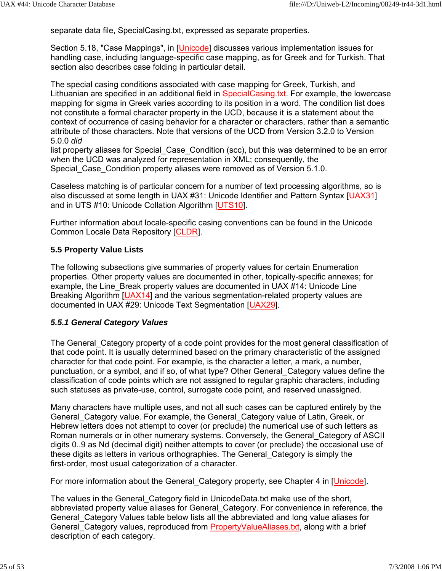separate data file, SpecialCasing.txt, expressed as separate properties.

Section 5.18, "Case Mappings", in [Unicode] discusses various implementation issues for handling case, including language-specific case mapping, as for Greek and for Turkish. That section also describes case folding in particular detail.

The special casing conditions associated with case mapping for Greek, Turkish, and Lithuanian are specified in an additional field in SpecialCasing.txt. For example, the lowercase mapping for sigma in Greek varies according to its position in a word. The condition list does not constitute a formal character property in the UCD, because it is a statement about the context of occurrence of casing behavior for a character or characters, rather than a semantic attribute of those characters. Note that versions of the UCD from Version 3.2.0 to Version 5.0.0 *did*

list property aliases for Special\_Case\_Condition (scc), but this was determined to be an error when the UCD was analyzed for representation in XML; consequently, the Special Case Condition property aliases were removed as of Version 5.1.0.

Caseless matching is of particular concern for a number of text processing algorithms, so is also discussed at some length in UAX #31: Unicode Identifier and Pattern Syntax [UAX31] and in UTS #10: Unicode Collation Algorithm [UTS10].

Further information about locale-specific casing conventions can be found in the Unicode Common Locale Data Repository [CLDR].

#### **5.5 Property Value Lists**

The following subsections give summaries of property values for certain Enumeration properties. Other property values are documented in other, topically-specific annexes; for example, the Line\_Break property values are documented in UAX #14: Unicode Line Breaking Algorithm [UAX14] and the various segmentation-related property values are documented in UAX #29: Unicode Text Segmentation [UAX29].

#### *5.5.1 General Category Values*

The General Category property of a code point provides for the most general classification of that code point. It is usually determined based on the primary characteristic of the assigned character for that code point. For example, is the character a letter, a mark, a number, punctuation, or a symbol, and if so, of what type? Other General\_Category values define the classification of code points which are not assigned to regular graphic characters, including such statuses as private-use, control, surrogate code point, and reserved unassigned.

Many characters have multiple uses, and not all such cases can be captured entirely by the General\_Category value. For example, the General\_Category value of Latin, Greek, or Hebrew letters does not attempt to cover (or preclude) the numerical use of such letters as Roman numerals or in other numerary systems. Conversely, the General\_Category of ASCII digits 0..9 as Nd (decimal digit) neither attempts to cover (or preclude) the occasional use of these digits as letters in various orthographies. The General\_Category is simply the first-order, most usual categorization of a character.

For more information about the General Category property, see Chapter 4 in [Unicode].

The values in the General Category field in UnicodeData.txt make use of the short, abbreviated property value aliases for General\_Category. For convenience in reference, the General\_Category Values table below lists all the abbreviated and long value aliases for General Category values, reproduced from PropertyValueAliases.txt, along with a brief description of each category.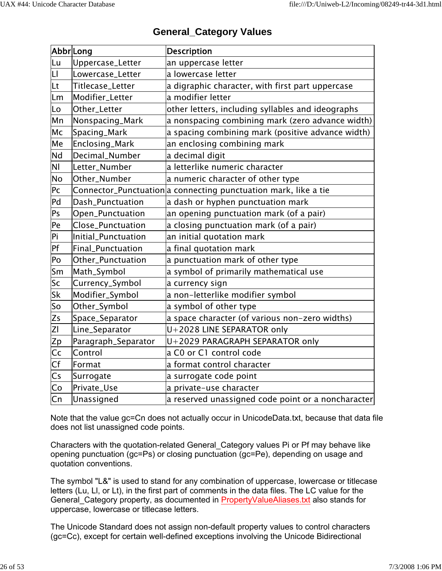| Abbr Long |                     | <b>Description</b>                                              |
|-----------|---------------------|-----------------------------------------------------------------|
| Lu        | Uppercase_Letter    | an uppercase letter                                             |
| LI        | Lowercase_Letter    | a lowercase letter                                              |
| Lt        | Titlecase_Letter    | a digraphic character, with first part uppercase                |
| Lm        | Modifier_Letter     | a modifier letter                                               |
| Lo        | Other_Letter        | other letters, including syllables and ideographs               |
| Mn        | Nonspacing_Mark     | a nonspacing combining mark (zero advance width)                |
| Mc        | Spacing_Mark        | a spacing combining mark (positive advance width)               |
| Me        | Enclosing_Mark      | an enclosing combining mark                                     |
| Nd        | Decimal_Number      | a decimal digit                                                 |
| NI        | Letter_Number       | a letterlike numeric character                                  |
| <b>No</b> | Other_Number        | a numeric character of other type                               |
| Pc        |                     | Connector_Punctuation a connecting punctuation mark, like a tie |
| Pd        | Dash_Punctuation    | a dash or hyphen punctuation mark                               |
| Ps        | Open_Punctuation    | an opening punctuation mark (of a pair)                         |
| Pe        | Close_Punctuation   | a closing punctuation mark (of a pair)                          |
| Pi        | Initial_Punctuation | an initial quotation mark                                       |
| Pf        | Final_Punctuation   | a final quotation mark                                          |
| Po        | Other_Punctuation   | a punctuation mark of other type                                |
| Sm        | Math_Symbol         | a symbol of primarily mathematical use                          |
| Sc        | Currency_Symbol     | a currency sign                                                 |
| <b>Sk</b> | Modifier_Symbol     | a non-letterlike modifier symbol                                |
| So        | Other_Symbol        | a symbol of other type                                          |
| Zs        | Space_Separator     | a space character (of various non-zero widths)                  |
| ΖI        | Line_Separator      | U+2028 LINE SEPARATOR only                                      |
| Zp        | Paragraph_Separator | U+2029 PARAGRAPH SEPARATOR only                                 |
| Cc        | Control             | a C0 or C1 control code                                         |
| Cf        | Format              | a format control character                                      |
| Cs        | Surrogate           | a surrogate code point                                          |
| Co        | Private_Use         | a private-use character                                         |
| Cn        | Unassigned          | a reserved unassigned code point or a noncharacter              |

## **General\_Category Values**

Note that the value gc=Cn does not actually occur in UnicodeData.txt, because that data file does not list unassigned code points.

Characters with the quotation-related General\_Category values Pi or Pf may behave like opening punctuation (gc=Ps) or closing punctuation (gc=Pe), depending on usage and quotation conventions.

The symbol "L&" is used to stand for any combination of uppercase, lowercase or titlecase letters (Lu, Ll, or Lt), in the first part of comments in the data files. The LC value for the General Category property, as documented in PropertyValueAliases.txt also stands for uppercase, lowercase or titlecase letters.

The Unicode Standard does not assign non-default property values to control characters (gc=Cc), except for certain well-defined exceptions involving the Unicode Bidirectional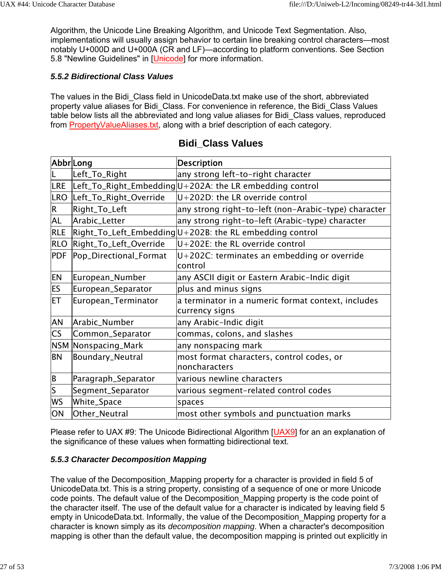Algorithm, the Unicode Line Breaking Algorithm, and Unicode Text Segmentation. Also, implementations will usually assign behavior to certain line breaking control characters—most notably U+000D and U+000A (CR and LF)—according to platform conventions. See Section 5.8 "Newline Guidelines" in [Unicode] for more information.

#### *5.5.2 Bidirectional Class Values*

The values in the Bidi\_Class field in UnicodeData.txt make use of the short, abbreviated property value aliases for Bidi\_Class. For convenience in reference, the Bidi\_Class Values table below lists all the abbreviated and long value aliases for Bidi\_Class values, reproduced from **PropertyValueAliases.txt**, along with a brief description of each category.

| Abbr Long               |                         | <b>Description</b>                                                   |
|-------------------------|-------------------------|----------------------------------------------------------------------|
|                         | Left_To_Right           | any strong left-to-right character                                   |
| <b>LRE</b>              |                         | Left_To_Right_Embedding $ U+202A$ : the LR embedding control         |
| <b>LRO</b>              | Left_To_Right_Override  | U+202D: the LR override control                                      |
| R                       | Right_To_Left           | any strong right-to-left (non-Arabic-type) character                 |
| AL                      | Arabic_Letter           | any strong right-to-left (Arabic-type) character                     |
| <b>RLE</b>              |                         | Right_To_Left_Embedding U+202B: the RL embedding control             |
| <b>RLO</b>              | Right_To_Left_Override  | $U + 202E$ : the RL override control                                 |
| <b>PDF</b>              | Pop_Directional_Format  | $U+202C$ : terminates an embedding or override<br>control            |
| <b>EN</b>               | European_Number         | any ASCII digit or Eastern Arabic-Indic digit                        |
| <b>ES</b>               | European_Separator      | plus and minus signs                                                 |
| <b>ET</b>               | European_Terminator     | a terminator in a numeric format context, includes<br>currency signs |
| <b>AN</b>               | Arabic_Number           | any Arabic-Indic digit                                               |
| <b>CS</b>               | Common_Separator        | commas, colons, and slashes                                          |
| <b>NSM</b>              | Nonspacing_Mark         | any nonspacing mark                                                  |
| <b>BN</b>               | <b>Boundary_Neutral</b> | most format characters, control codes, or                            |
|                         |                         | noncharacters                                                        |
| B                       | Paragraph_Separator     | various newline characters                                           |
| $\overline{\mathsf{s}}$ | Segment_Separator       | various segment-related control codes                                |
| <b>WS</b>               | White_Space             | spaces                                                               |
| ON                      | Other_Neutral           | most other symbols and punctuation marks                             |

## **Bidi\_Class Values**

Please refer to UAX #9: The Unicode Bidirectional Algorithm [UAX9] for an an explanation of the significance of these values when formatting bidirectional text.

#### *5.5.3 Character Decomposition Mapping*

The value of the Decomposition\_Mapping property for a character is provided in field 5 of UnicodeData.txt. This is a string property, consisting of a sequence of one or more Unicode code points. The default value of the Decomposition\_Mapping property is the code point of the character itself. The use of the default value for a character is indicated by leaving field 5 empty in UnicodeData.txt. Informally, the value of the Decomposition Mapping property for a character is known simply as its *decomposition mapping*. When a character's decomposition mapping is other than the default value, the decomposition mapping is printed out explicitly in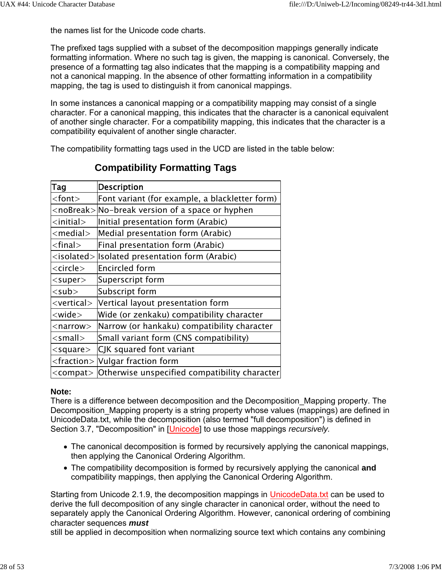the names list for the Unicode code charts.

The prefixed tags supplied with a subset of the decomposition mappings generally indicate formatting information. Where no such tag is given, the mapping is canonical. Conversely, the presence of a formatting tag also indicates that the mapping is a compatibility mapping and not a canonical mapping. In the absence of other formatting information in a compatibility mapping, the tag is used to distinguish it from canonical mappings.

In some instances a canonical mapping or a compatibility mapping may consist of a single character. For a canonical mapping, this indicates that the character is a canonical equivalent of another single character. For a compatibility mapping, this indicates that the character is a compatibility equivalent of another single character.

The compatibility formatting tags used in the UCD are listed in the table below:

| Tag              | <b>Description</b>                                        |
|------------------|-----------------------------------------------------------|
| $<$ font $>$     | Font variant (for example, a blackletter form)            |
|                  | <nobreak> No-break version of a space or hyphen</nobreak> |
| $<$ initial $>$  | Initial presentation form (Arabic)                        |
| $<$ medial $>$   | Medial presentation form (Arabic)                         |
| $<$ final $>$    | Final presentation form (Arabic)                          |
|                  | <isolated> Isolated presentation form (Arabic)</isolated> |
| $<$ circle $>$   | <b>Encircled form</b>                                     |
| $<$ super $>$    | Superscript form                                          |
| $<$ sub $>$      | Subscript form                                            |
| $<$ vertical $>$ | Vertical layout presentation form                         |
| $<$ wide $>$     | Wide (or zenkaku) compatibility character                 |
| $<$ narrow $>$   | Narrow (or hankaku) compatibility character               |
| $<$ small $>$    | Small variant form (CNS compatibility)                    |
| $<$ square $>$   | CJK squared font variant                                  |
|                  | <fraction> Vulgar fraction form</fraction>                |
| $<$ compat $>$   | Otherwise unspecified compatibility character             |

## **Compatibility Formatting Tags**

#### **Note:**

There is a difference between decomposition and the Decomposition\_Mapping property. The Decomposition Mapping property is a string property whose values (mappings) are defined in UnicodeData.txt, while the decomposition (also termed "full decomposition") is defined in Section 3.7, "Decomposition" in [Unicode] to use those mappings *recursively.*

- The canonical decomposition is formed by recursively applying the canonical mappings, then applying the Canonical Ordering Algorithm.
- The compatibility decomposition is formed by recursively applying the canonical and compatibility mappings, then applying the Canonical Ordering Algorithm.

Starting from Unicode 2.1.9, the decomposition mappings in UnicodeData.txt can be used to derive the full decomposition of any single character in canonical order, without the need to separately apply the Canonical Ordering Algorithm. However, canonical ordering of combining character sequences *must*

still be applied in decomposition when normalizing source text which contains any combining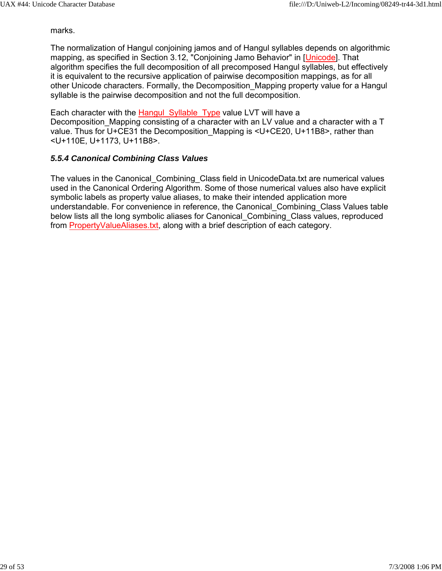marks.

The normalization of Hangul conjoining jamos and of Hangul syllables depends on algorithmic mapping, as specified in Section 3.12, "Conjoining Jamo Behavior" in [Unicode]. That algorithm specifies the full decomposition of all precomposed Hangul syllables, but effectively it is equivalent to the recursive application of pairwise decomposition mappings, as for all other Unicode characters. Formally, the Decomposition\_Mapping property value for a Hangul syllable is the pairwise decomposition and not the full decomposition.

Each character with the Hangul Syllable Type value LVT will have a Decomposition\_Mapping consisting of a character with an LV value and a character with a T value. Thus for U+CE31 the Decomposition Mapping is <U+CE20, U+11B8>, rather than <U+110E, U+1173, U+11B8>.

#### *5.5.4 Canonical Combining Class Values*

The values in the Canonical\_Combining\_Class field in UnicodeData.txt are numerical values used in the Canonical Ordering Algorithm. Some of those numerical values also have explicit symbolic labels as property value aliases, to make their intended application more understandable. For convenience in reference, the Canonical\_Combining\_Class Values table below lists all the long symbolic aliases for Canonical\_Combining\_Class values, reproduced from PropertyValueAliases.txt, along with a brief description of each category.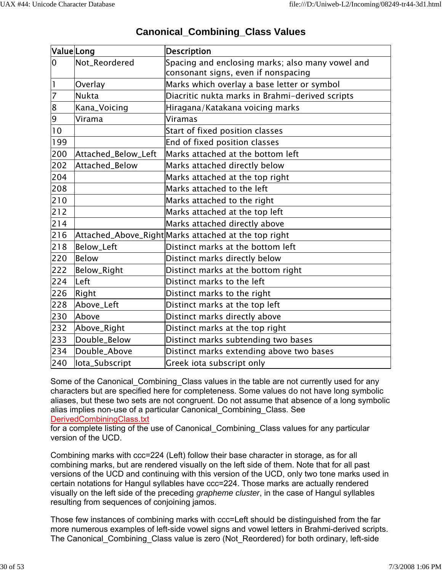| Value Long     |                     | <b>Description</b>                                   |
|----------------|---------------------|------------------------------------------------------|
| 0              | Not_Reordered       | Spacing and enclosing marks; also many vowel and     |
|                |                     | consonant signs, even if nonspacing                  |
| $\overline{1}$ | Overlay             | Marks which overlay a base letter or symbol          |
| $\overline{7}$ | <b>Nukta</b>        | Diacritic nukta marks in Brahmi-derived scripts      |
| 8              | Kana_Voicing        | Hiragana/Katakana voicing marks                      |
| 9              | Virama              | Viramas                                              |
| 10             |                     | Start of fixed position classes                      |
| 199            |                     | End of fixed position classes                        |
| 200            | Attached_Below_Left | Marks attached at the bottom left                    |
| 202            | Attached_Below      | Marks attached directly below                        |
| 204            |                     | Marks attached at the top right                      |
| 208            |                     | Marks attached to the left                           |
| 210            |                     | Marks attached to the right                          |
| 212            |                     | Marks attached at the top left                       |
| 214            |                     | Marks attached directly above                        |
| 216            |                     | Attached_Above_Right Marks attached at the top right |
| 218            | <b>Below_Left</b>   | Distinct marks at the bottom left                    |
| 220            | <b>Below</b>        | Distinct marks directly below                        |
| 222            | Below_Right         | Distinct marks at the bottom right                   |
| 224            | Left                | Distinct marks to the left                           |
| 226            | Right               | Distinct marks to the right                          |
| 228            | Above_Left          | Distinct marks at the top left                       |
| 230            | Above               | Distinct marks directly above                        |
| 232            | Above_Right         | Distinct marks at the top right                      |
| 233            | Double_Below        | Distinct marks subtending two bases                  |
| 234            | Double_Above        | Distinct marks extending above two bases             |
| 240            | lota_Subscript      | Greek iota subscript only                            |

## **Canonical\_Combining\_Class Values**

Some of the Canonical Combining Class values in the table are not currently used for any characters but are specified here for completeness. Some values do not have long symbolic aliases, but these two sets are not congruent. Do not assume that absence of a long symbolic alias implies non-use of a particular Canonical\_Combining\_Class. See DerivedCombiningClass.txt

for a complete listing of the use of Canonical Combining Class values for any particular version of the UCD.

Combining marks with ccc=224 (Left) follow their base character in storage, as for all combining marks, but are rendered visually on the left side of them. Note that for all past versions of the UCD and continuing with this version of the UCD, only two tone marks used in certain notations for Hangul syllables have ccc=224. Those marks are actually rendered visually on the left side of the preceding *grapheme cluster*, in the case of Hangul syllables resulting from sequences of conjoining jamos.

Those few instances of combining marks with ccc=Left should be distinguished from the far more numerous examples of left-side vowel signs and vowel letters in Brahmi-derived scripts. The Canonical\_Combining\_Class value is zero (Not\_Reordered) for both ordinary, left-side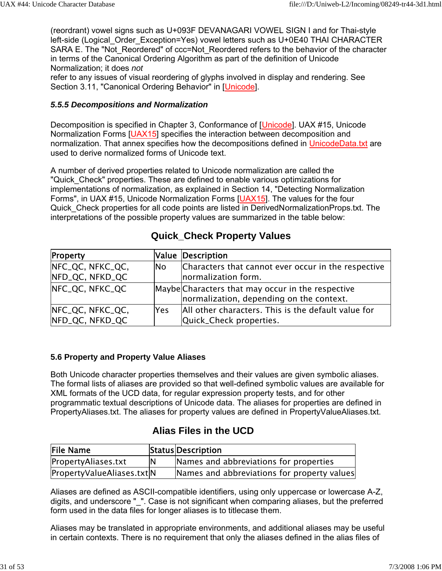(reordrant) vowel signs such as U+093F DEVANAGARI VOWEL SIGN I and for Thai-style left-side (Logical Order Exception=Yes) vowel letters such as U+0E40 THAI CHARACTER SARA E. The "Not Reordered" of ccc=Not Reordered refers to the behavior of the character in terms of the Canonical Ordering Algorithm as part of the definition of Unicode Normalization; it does *not*

refer to any issues of visual reordering of glyphs involved in display and rendering. See Section 3.11, "Canonical Ordering Behavior" in [Unicode].

#### *5.5.5 Decompositions and Normalization*

Decomposition is specified in Chapter 3, Conformance of [Unicode]. UAX #15, Unicode Normalization Forms [UAX15] specifies the interaction between decomposition and normalization. That annex specifies how the decompositions defined in UnicodeData.txt are used to derive normalized forms of Unicode text.

A number of derived properties related to Unicode normalization are called the "Quick Check" properties. These are defined to enable various optimizations for implementations of normalization, as explained in Section 14, "Detecting Normalization Forms", in UAX #15, Unicode Normalization Forms [UAX15]. The values for the four Quick\_Check properties for all code points are listed in DerivedNormalizationProps.txt. The interpretations of the possible property values are summarized in the table below:

| Property                            |                | <b>Value Description</b>                                                                      |
|-------------------------------------|----------------|-----------------------------------------------------------------------------------------------|
| NFC_QC, NFKC_QC,<br>NFD_QC, NFKD_QC | N <sub>o</sub> | Characters that cannot ever occur in the respective<br>normalization form.                    |
| NFC_QC, NFKC_QC                     |                | Maybe Characters that may occur in the respective<br>normalization, depending on the context. |
| NFC_QC, NFKC_QC,<br>NFD_QC, NFKD_QC | Yes            | All other characters. This is the default value for<br>Quick_Check properties.                |

## **Quick\_Check Property Values**

#### **5.6 Property and Property Value Aliases**

Both Unicode character properties themselves and their values are given symbolic aliases. The formal lists of aliases are provided so that well-defined symbolic values are available for XML formats of the UCD data, for regular expression property tests, and for other programmatic textual descriptions of Unicode data. The aliases for properties are defined in PropertyAliases.txt. The aliases for property values are defined in PropertyValueAliases.txt.

## **Alias Files in the UCD**

| File Name                 |    | <b>Status Description</b>                   |
|---------------------------|----|---------------------------------------------|
| PropertyAliases.txt       | IN | Names and abbreviations for properties      |
| PropertyValueAliases.txtN |    | Names and abbreviations for property values |

Aliases are defined as ASCII-compatible identifiers, using only uppercase or lowercase A-Z, digits, and underscore " ". Case is not significant when comparing aliases, but the preferred form used in the data files for longer aliases is to titlecase them.

Aliases may be translated in appropriate environments, and additional aliases may be useful in certain contexts. There is no requirement that only the aliases defined in the alias files of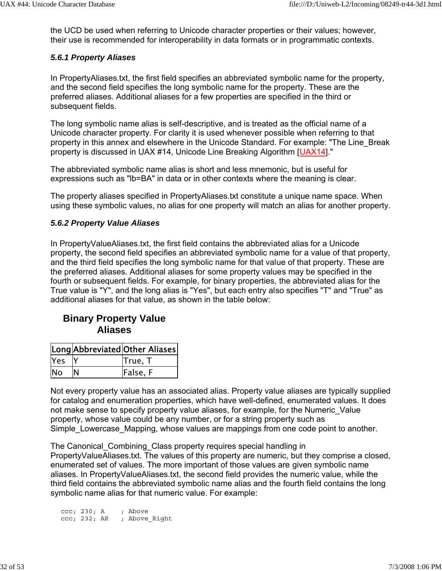the UCD be used when referring to Unicode character properties or their values; however, their use is recommended for interoperability in data formats or in programmatic contexts.

#### *5.6.1 Property Aliases*

In PropertyAliases.txt, the first field specifies an abbreviated symbolic name for the property, and the second field specifies the long symbolic name for the property. These are the preferred aliases. Additional aliases for a few properties are specified in the third or subsequent fields.

The long symbolic name alias is self-descriptive, and is treated as the official name of a Unicode character property. For clarity it is used whenever possible when referring to that property in this annex and elsewhere in the Unicode Standard. For example: "The Line\_Break property is discussed in UAX #14, Unicode Line Breaking Algorithm [UAX14]."

The abbreviated symbolic name alias is short and less mnemonic, but is useful for expressions such as "lb=BA" in data or in other contexts where the meaning is clear.

The property aliases specified in PropertyAliases.txt constitute a unique name space. When using these symbolic values, no alias for one property will match an alias for another property.

#### *5.6.2 Property Value Aliases*

In PropertyValueAliases.txt, the first field contains the abbreviated alias for a Unicode property, the second field specifies an abbreviated symbolic name for a value of that property, and the third field specifies the long symbolic name for that value of that property. These are the preferred aliases. Additional aliases for some property values may be specified in the fourth or subsequent fields. For example, for binary properties, the abbreviated alias for the True value is "Y", and the long alias is "Yes", but each entry also specifies "T" and "True" as additional aliases for that value, as shown in the table below:

## **Binary Property Value Aliases**

|           | Long Abbreviated Other Aliases |
|-----------|--------------------------------|
| Yes       | ITrue, T                       |
| <b>No</b> | False, F                       |

Not every property value has an associated alias. Property value aliases are typically supplied for catalog and enumeration properties, which have well-defined, enumerated values. It does not make sense to specify property value aliases, for example, for the Numeric\_Value property, whose value could be any number, or for a string property such as Simple Lowercase Mapping, whose values are mappings from one code point to another.

The Canonical Combining Class property requires special handling in PropertyValueAliases.txt. The values of this property are numeric, but they comprise a closed, enumerated set of values. The more important of those values are given symbolic name aliases. In PropertyValueAliases.txt, the second field provides the numeric value, while the third field contains the abbreviated symbolic name alias and the fourth field contains the long symbolic name alias for that numeric value. For example:

ccc; 230; A ; Above ccc; 232; AR ; Above\_Right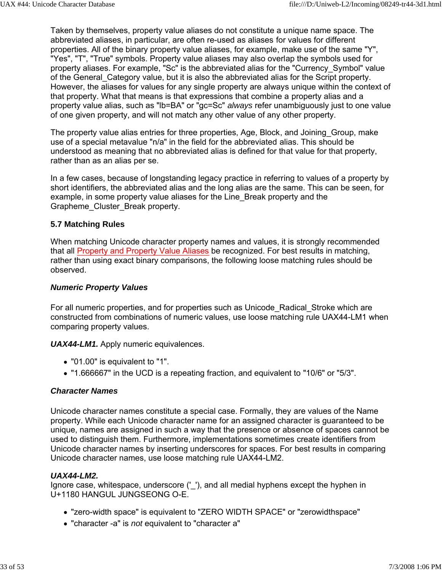Taken by themselves, property value aliases do not constitute a unique name space. The abbreviated aliases, in particular, are often re-used as aliases for values for different properties. All of the binary property value aliases, for example, make use of the same "Y", "Yes", "T", "True" symbols. Property value aliases may also overlap the symbols used for property aliases. For example, "Sc" is the abbreviated alias for the "Currency\_Symbol" value of the General\_Category value, but it is also the abbreviated alias for the Script property. However, the aliases for values for any single property are always unique within the context of that property. What that means is that expressions that combine a property alias and a property value alias, such as "lb=BA" or "gc=Sc" *always* refer unambiguously just to one value of one given property, and will not match any other value of any other property.

The property value alias entries for three properties, Age, Block, and Joining\_Group, make use of a special metavalue "n/a" in the field for the abbreviated alias. This should be understood as meaning that no abbreviated alias is defined for that value for that property, rather than as an alias per se.

In a few cases, because of longstanding legacy practice in referring to values of a property by short identifiers, the abbreviated alias and the long alias are the same. This can be seen, for example, in some property value aliases for the Line\_Break property and the Grapheme\_Cluster\_Break property.

#### **5.7 Matching Rules**

When matching Unicode character property names and values, it is strongly recommended that all Property and Property Value Aliases be recognized. For best results in matching, rather than using exact binary comparisons, the following loose matching rules should be observed.

#### *Numeric Property Values*

For all numeric properties, and for properties such as Unicode\_Radical\_Stroke which are constructed from combinations of numeric values, use loose matching rule UAX44-LM1 when comparing property values.

*UAX44-LM1.* Apply numeric equivalences.

- "01.00" is equivalent to "1".
- "1.666667" in the UCD is a repeating fraction, and equivalent to "10/6" or "5/3".

#### *Character Names*

Unicode character names constitute a special case. Formally, they are values of the Name property. While each Unicode character name for an assigned character is guaranteed to be unique, names are assigned in such a way that the presence or absence of spaces cannot be used to distinguish them. Furthermore, implementations sometimes create identifiers from Unicode character names by inserting underscores for spaces. For best results in comparing Unicode character names, use loose matching rule UAX44-LM2.

#### *UAX44-LM2.*

Ignore case, whitespace, underscore (' $'$ ), and all medial hyphens except the hyphen in U+1180 HANGUL JUNGSEONG O-E.

- "zero-width space" is equivalent to "ZERO WIDTH SPACE" or "zerowidthspace"
- "character -a" is *not* equivalent to "character a"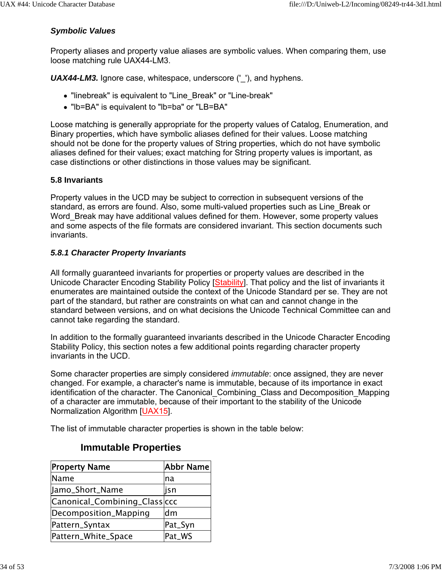#### *Symbolic Values*

Property aliases and property value aliases are symbolic values. When comparing them, use loose matching rule UAX44-LM3.

*UAX44-LM3.* Ignore case, whitespace, underscore ('\_'), and hyphens.

- "linebreak" is equivalent to "Line\_Break" or "Line-break"
- "lb=BA" is equivalent to "lb=ba" or "LB=BA"

Loose matching is generally appropriate for the property values of Catalog, Enumeration, and Binary properties, which have symbolic aliases defined for their values. Loose matching should not be done for the property values of String properties, which do not have symbolic aliases defined for their values; exact matching for String property values is important, as case distinctions or other distinctions in those values may be significant.

#### **5.8 Invariants**

Property values in the UCD may be subject to correction in subsequent versions of the standard, as errors are found. Also, some multi-valued properties such as Line\_Break or Word Break may have additional values defined for them. However, some property values and some aspects of the file formats are considered invariant. This section documents such invariants.

#### *5.8.1 Character Property Invariants*

All formally guaranteed invariants for properties or property values are described in the Unicode Character Encoding Stability Policy [Stability]. That policy and the list of invariants it enumerates are maintained outside the context of the Unicode Standard per se. They are not part of the standard, but rather are constraints on what can and cannot change in the standard between versions, and on what decisions the Unicode Technical Committee can and cannot take regarding the standard.

In addition to the formally guaranteed invariants described in the Unicode Character Encoding Stability Policy, this section notes a few additional points regarding character property invariants in the UCD.

Some character properties are simply considered *immutable*: once assigned, they are never changed. For example, a character's name is immutable, because of its importance in exact identification of the character. The Canonical\_Combining\_Class and Decomposition\_Mapping of a character are immutable, because of their important to the stability of the Unicode Normalization Algorithm [UAX15].

The list of immutable character properties is shown in the table below:

| <b>Property Name</b>          | Abbr Name |
|-------------------------------|-----------|
| Name                          | na        |
| Jamo_Short_Name               | jsn       |
| Canonical_Combining_Class ccc |           |
| Decomposition_Mapping         | dm        |
| Pattern_Syntax                | Pat_Syn   |
| Pattern_White_Space           | Pat_WS    |

## **Immutable Properties**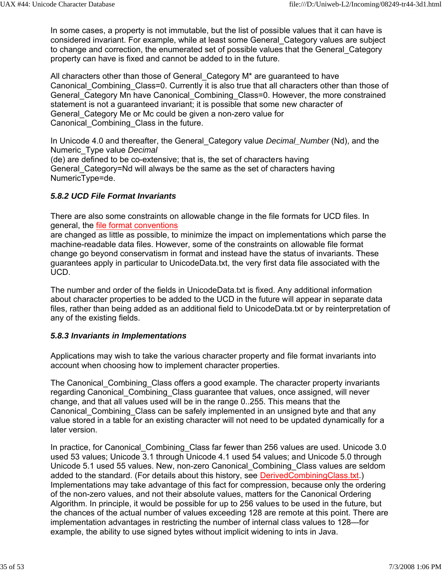In some cases, a property is not immutable, but the list of possible values that it can have is considered invariant. For example, while at least some General\_Category values are subject to change and correction, the enumerated set of possible values that the General\_Category property can have is fixed and cannot be added to in the future.

All characters other than those of General\_Category M<sup>\*</sup> are guaranteed to have Canonical\_Combining\_Class=0. Currently it is also true that all characters other than those of General\_Category Mn have Canonical\_Combining\_Class=0. However, the more constrained statement is not a guaranteed invariant; it is possible that some new character of General\_Category Me or Mc could be given a non-zero value for Canonical\_Combining\_Class in the future.

In Unicode 4.0 and thereafter, the General\_Category value *Decimal\_Number* (Nd), and the Numeric\_Type value *Decimal* (de) are defined to be co-extensive; that is, the set of characters having General\_Category=Nd will always be the same as the set of characters having NumericType=de.

#### *5.8.2 UCD File Format Invariants*

There are also some constraints on allowable change in the file formats for UCD files. In general, the file format conventions

are changed as little as possible, to minimize the impact on implementations which parse the machine-readable data files. However, some of the constraints on allowable file format change go beyond conservatism in format and instead have the status of invariants. These guarantees apply in particular to UnicodeData.txt, the very first data file associated with the UCD.

The number and order of the fields in UnicodeData.txt is fixed. Any additional information about character properties to be added to the UCD in the future will appear in separate data files, rather than being added as an additional field to UnicodeData.txt or by reinterpretation of any of the existing fields.

#### *5.8.3 Invariants in Implementations*

Applications may wish to take the various character property and file format invariants into account when choosing how to implement character properties.

The Canonical Combining Class offers a good example. The character property invariants regarding Canonical\_Combining\_Class guarantee that values, once assigned, will never change, and that all values used will be in the range 0..255. This means that the Canonical\_Combining\_Class can be safely implemented in an unsigned byte and that any value stored in a table for an existing character will not need to be updated dynamically for a later version.

In practice, for Canonical Combining Class far fewer than 256 values are used. Unicode 3.0 used 53 values; Unicode 3.1 through Unicode 4.1 used 54 values; and Unicode 5.0 through Unicode 5.1 used 55 values. New, non-zero Canonical\_Combining\_Class values are seldom added to the standard. (For details about this history, see DerivedCombiningClass.txt.) Implementations may take advantage of this fact for compression, because only the ordering of the non-zero values, and not their absolute values, matters for the Canonical Ordering Algorithm. In principle, it would be possible for up to 256 values to be used in the future, but the chances of the actual number of values exceeding 128 are remote at this point. There are implementation advantages in restricting the number of internal class values to 128—for example, the ability to use signed bytes without implicit widening to ints in Java.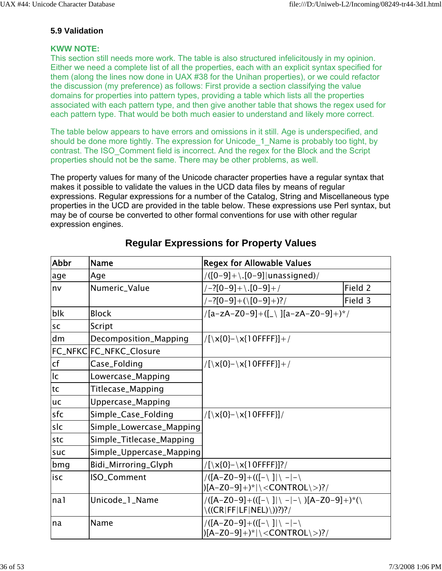#### **5.9 Validation**

#### **KWW NOTE:**

This section still needs more work. The table is also structured infelicitously in my opinion. Either we need a complete list of all the properties, each with an explicit syntax specified for them (along the lines now done in UAX #38 for the Unihan properties), or we could refactor the discussion (my preference) as follows: First provide a section classifying the value domains for properties into pattern types, providing a table which lists all the properties associated with each pattern type, and then give another table that shows the regex used for each pattern type. That would be both much easier to understand and likely more correct.

The table below appears to have errors and omissions in it still. Age is underspecified, and should be done more tightly. The expression for Unicode 1 Name is probably too tight, by contrast. The ISO\_Comment field is incorrect. And the regex for the Block and the Script properties should not be the same. There may be other problems, as well.

The property values for many of the Unicode character properties have a regular syntax that makes it possible to validate the values in the UCD data files by means of regular expressions. Regular expressions for a number of the Catalog, String and Miscellaneous type properties in the UCD are provided in the table below. These expressions use Perl syntax, but may be of course be converted to other formal conventions for use with other regular expression engines.

| <b>Abbr</b> | <b>Name</b>              | <b>Regex for Allowable Values</b>                                                                                    |         |
|-------------|--------------------------|----------------------------------------------------------------------------------------------------------------------|---------|
| age         | Age                      | $/([0-9]+ \ . [0-9]$  unassigned)/                                                                                   |         |
| nv          | Numeric_Value            | $(-2[0-9]+).$ [0-9]+/                                                                                                | Field 2 |
|             |                          | $(-?[0-9]+(\10-9]+)?/$                                                                                               | Field 3 |
| blk         | <b>Block</b>             | $/[a-zA-Z0-9]+([-\rangle][a-zA-Z0-9]+)^*/$                                                                           |         |
| <b>SC</b>   | Script                   |                                                                                                                      |         |
| dm          | Decomposition_Mapping    | $/[\x{0}-x{10FFFF}]+/$                                                                                               |         |
|             | FC_NFKC FC_NFKC_Closure  |                                                                                                                      |         |
| cf          | Case_Folding             | $/[\x{x}{0}-\x{10$ FFFF}] + /                                                                                        |         |
| Ic          | Lowercase_Mapping        |                                                                                                                      |         |
| tc          | Titlecase_Mapping        |                                                                                                                      |         |
| <b>uc</b>   | Uppercase_Mapping        |                                                                                                                      |         |
| sfc         | Simple_Case_Folding      | $/[\x{0}-x{10FFF}]$                                                                                                  |         |
| slc         | Simple_Lowercase_Mapping |                                                                                                                      |         |
| stc         | Simple_Titlecase_Mapping |                                                                                                                      |         |
| suc         | Simple_Uppercase_Mapping |                                                                                                                      |         |
| bmg         | Bidi_Mirroring_Glyph     | $/[\x{0}-x{10FFF}]$ ?                                                                                                |         |
| isc         | <b>ISO_Comment</b>       | $/([A-ZO-9]+(([-\langle ] \langle - -\rangle$<br>$ A-Z0-9]+$ <sup>*</sup> $ \langle$ < CONTROL $\rangle$ >)?         |         |
| na1         | Unicode_1_Name           | $/([A-Z0-9]+((([-\langle ]\langle - -\langle \rangle [A-Z0-9]+)^{*}(\langle$<br>$\langle (CR FF LF NEL)\rangle$ ???/ |         |
| Ina         | Name                     | $/([A-ZO-9]+(([-\langle ] \langle - -\rangle$<br>$ A-Z0-9]+$ <sup>*</sup> $ \langle$ < CONTROL $\rangle$ >)?         |         |

## **Regular Expressions for Property Values**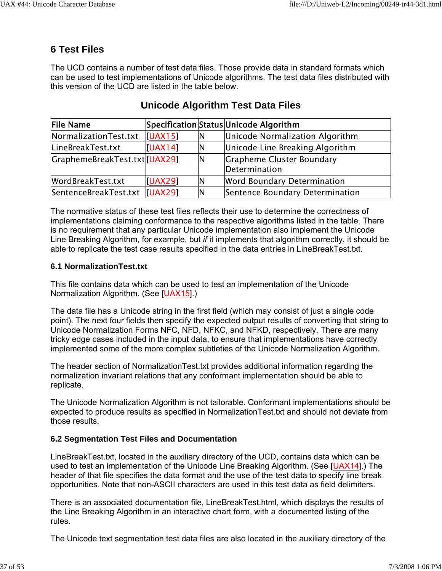## **6 Test Files**

The UCD contains a number of test data files. Those provide data in standard formats which can be used to test implementations of Unicode algorithms. The test data files distributed with this version of the UCD are listed in the table below.

| File Name                     |         |              | Specification Status Unicode Algorithm |
|-------------------------------|---------|--------------|----------------------------------------|
| NormalizationTest.txt         | [UAX15] | $\mathsf{N}$ | Unicode Normalization Algorithm        |
| LineBreakTest.txt             | [UAX14] | IN           | Unicode Line Breaking Algorithm        |
| GraphemeBreakTest.txt [UAX29] |         | IN           | Grapheme Cluster Boundary              |
|                               |         |              | Determination                          |
| WordBreakTest.txt             | [UAX29] |              | <b>Word Boundary Determination</b>     |
| SentenceBreakTest.txt         | [UAX29] | $\mathsf{N}$ | Sentence Boundary Determination        |

## **Unicode Algorithm Test Data Files**

The normative status of these test files reflects their use to determine the correctness of implementations claiming conformance to the respective algorithms listed in the table. There is no requirement that any particular Unicode implementation also implement the Unicode Line Breaking Algorithm, for example, but *if* it implements that algorithm correctly, it should be able to replicate the test case results specified in the data entries in LineBreakTest.txt.

#### **6.1 NormalizationTest.txt**

This file contains data which can be used to test an implementation of the Unicode Normalization Algorithm. (See [UAX15].)

The data file has a Unicode string in the first field (which may consist of just a single code point). The next four fields then specify the expected output results of converting that string to Unicode Normalization Forms NFC, NFD, NFKC, and NFKD, respectively. There are many tricky edge cases included in the input data, to ensure that implementations have correctly implemented some of the more complex subtleties of the Unicode Normalization Algorithm.

The header section of NormalizationTest.txt provides additional information regarding the normalization invariant relations that any conformant implementation should be able to replicate.

The Unicode Normalization Algorithm is not tailorable. Conformant implementations should be expected to produce results as specified in NormalizationTest.txt and should not deviate from those results.

#### **6.2 Segmentation Test Files and Documentation**

LineBreakTest.txt, located in the auxiliary directory of the UCD, contains data which can be used to test an implementation of the Unicode Line Breaking Algorithm. (See [UAX14].) The header of that file specifies the data format and the use of the test data to specify line break opportunities. Note that non-ASCII characters are used in this test data as field delimiters.

There is an associated documentation file, LineBreakTest.html, which displays the results of the Line Breaking Algorithm in an interactive chart form, with a documented listing of the rules.

The Unicode text segmentation test data files are also located in the auxiliary directory of the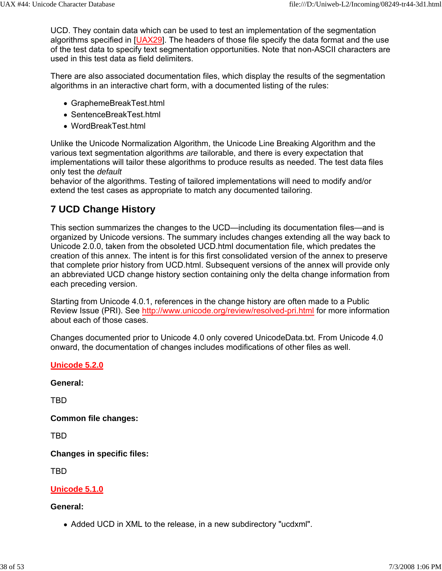UCD. They contain data which can be used to test an implementation of the segmentation algorithms specified in [UAX29]. The headers of those file specify the data format and the use of the test data to specify text segmentation opportunities. Note that non-ASCII characters are used in this test data as field delimiters.

There are also associated documentation files, which display the results of the segmentation algorithms in an interactive chart form, with a documented listing of the rules:

- GraphemeBreakTest.html
- SentenceBreakTest.html
- WordBreakTest.html

Unlike the Unicode Normalization Algorithm, the Unicode Line Breaking Algorithm and the various text segmentation algorithms *are* tailorable, and there is every expectation that implementations will tailor these algorithms to produce results as needed. The test data files only test the *default*

behavior of the algorithms. Testing of tailored implementations will need to modify and/or extend the test cases as appropriate to match any documented tailoring.

## **7 UCD Change History**

This section summarizes the changes to the UCD—including its documentation files—and is organized by Unicode versions. The summary includes changes extending all the way back to Unicode 2.0.0, taken from the obsoleted UCD.html documentation file, which predates the creation of this annex. The intent is for this first consolidated version of the annex to preserve that complete prior history from UCD.html. Subsequent versions of the annex will provide only an abbreviated UCD change history section containing only the delta change information from each preceding version.

Starting from Unicode 4.0.1, references in the change history are often made to a Public Review Issue (PRI). See http://www.unicode.org/review/resolved-pri.html for more information about each of those cases.

Changes documented prior to Unicode 4.0 only covered UnicodeData.txt. From Unicode 4.0 onward, the documentation of changes includes modifications of other files as well.

**Unicode 5.2.0**

**General:**

TBD

**Common file changes:**

TBD

**Changes in specific files:**

TBD

#### **Unicode 5.1.0**

#### **General:**

Added UCD in XML to the release, in a new subdirectory "ucdxml".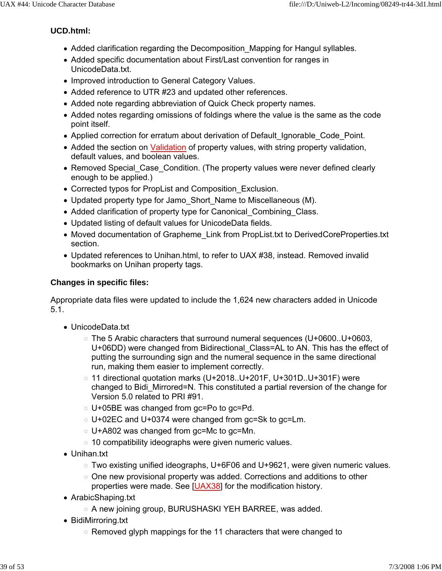### **UCD.html:**

- Added clarification regarding the Decomposition Mapping for Hangul syllables.
- Added specific documentation about First/Last convention for ranges in UnicodeData.txt.
- Improved introduction to General Category Values.
- Added reference to UTR #23 and updated other references.
- Added note regarding abbreviation of Quick Check property names.
- Added notes regarding omissions of foldings where the value is the same as the code point itself.
- Applied correction for erratum about derivation of Default\_Ignorable\_Code\_Point.
- Added the section on Validation of property values, with string property validation, default values, and boolean values.
- Removed Special Case Condition. (The property values were never defined clearly enough to be applied.)
- Corrected typos for PropList and Composition Exclusion.
- Updated property type for Jamo Short Name to Miscellaneous (M).
- Added clarification of property type for Canonical\_Combining\_Class.
- Updated listing of default values for UnicodeData fields.
- Moved documentation of Grapheme Link from PropList.txt to DerivedCoreProperties.txt section.
- Updated references to Unihan.html, to refer to UAX #38, instead. Removed invalid bookmarks on Unihan property tags.

## **Changes in specific files:**

Appropriate data files were updated to include the 1,624 new characters added in Unicode 5.1.

- UnicodeData.txt
	- $\circ$  The 5 Arabic characters that surround numeral sequences (U+0600..U+0603, U+06DD) were changed from Bidirectional\_Class=AL to AN. This has the effect of putting the surrounding sign and the numeral sequence in the same directional run, making them easier to implement correctly.
	- $\circ$  11 directional quotation marks (U+2018. U+201F, U+301D. U+301F) were changed to Bidi\_Mirrored=N. This constituted a partial reversion of the change for Version 5.0 related to PRI #91.
	- U+05BE was changed from gc=Po to gc=Pd.
	- U+02EC and U+0374 were changed from gc=Sk to gc=Lm.
	- U+A802 was changed from gc=Mc to gc=Mn.
	- $\circ$  10 compatibility ideographs were given numeric values.
- Unihan.txt
	- $\circ$  Two existing unified ideographs, U+6F06 and U+9621, were given numeric values.
	- $\circ$  One new provisional property was added. Corrections and additions to other properties were made. See [UAX38] for the modification history.
- ArabicShaping.txt
	- o A new joining group, BURUSHASKI YEH BARREE, was added.
- BidiMirroring.txt
	- $\circ$  Removed glyph mappings for the 11 characters that were changed to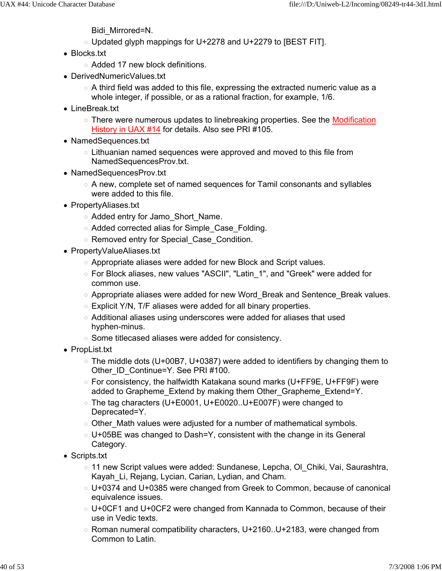Bidi\_Mirrored=N.

- $\circ$  Updated glyph mappings for U+2278 and U+2279 to [BEST FIT].
- Blocks.txt
	- Added 17 new block definitions.
- DerivedNumericValues.txt
	- $\circ$  A third field was added to this file, expressing the extracted numeric value as a whole integer, if possible, or as a rational fraction, for example, 1/6.
- LineBreak.txt
	- There were numerous updates to linebreaking properties. See the Modification History in UAX #14 for details. Also see PRI #105.
- NamedSequences.txt
	- $\circ$  Lithuanian named sequences were approved and moved to this file from NamedSequencesProv.txt.
- NamedSequencesProv.txt
	- $\circ$  A new, complete set of named sequences for Tamil consonants and syllables were added to this file.
- PropertyAliases.txt
	- Added entry for Jamo\_Short\_Name.
	- o Added corrected alias for Simple Case Folding.
	- o Removed entry for Special\_Case\_Condition.
- PropertyValueAliases.txt
	- Appropriate aliases were added for new Block and Script values.
	- For Block aliases, new values "ASCII", "Latin 1", and "Greek" were added for common use.
	- $\circ$  Appropriate aliases were added for new Word Break and Sentence Break values.
	- Explicit Y/N, T/F aliases were added for all binary properties.
	- $\circ$  Additional aliases using underscores were added for aliases that used hyphen-minus.
	- $\circ$  Some titlecased aliases were added for consistency.
- PropList.txt
	- $\circ$  The middle dots (U+00B7, U+0387) were added to identifiers by changing them to Other\_ID\_Continue=Y. See PRI #100.
	- For consistency, the halfwidth Katakana sound marks (U+FF9E, U+FF9F) were added to Grapheme\_Extend by making them Other\_Grapheme\_Extend=Y.
	- The tag characters (U+E0001, U+E0020..U+E007F) were changed to Deprecated=Y.
	- $\circ$  Other Math values were adjusted for a number of mathematical symbols.
	- $\circ$  U+05BE was changed to Dash=Y, consistent with the change in its General Category.
- Scripts.txt
	- o 11 new Script values were added: Sundanese, Lepcha, Ol\_Chiki, Vai, Saurashtra, Kayah Li, Rejang, Lycian, Carian, Lydian, and Cham.
	- U+0374 and U+0385 were changed from Greek to Common, because of canonical equivalence issues.
	- $\circ$  U+0CF1 and U+0CF2 were changed from Kannada to Common, because of their use in Vedic texts.
	- $\circ$  Roman numeral compatibility characters, U+2160..U+2183, were changed from Common to Latin.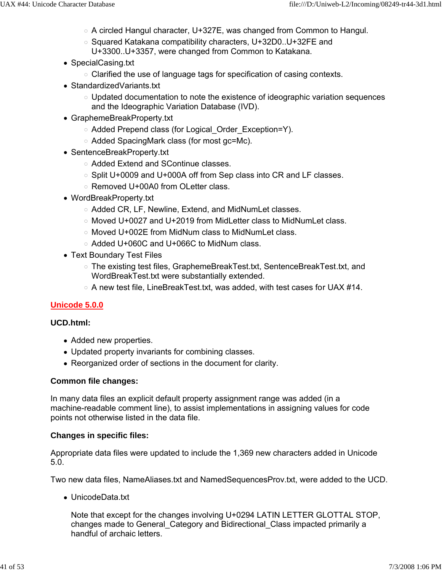- $\circ$  A circled Hangul character, U+327E, was changed from Common to Hangul.
- Squared Katakana compatibility characters, U+32D0..U+32FE and U+3300..U+3357, were changed from Common to Katakana.
- SpecialCasing.txt
	- $\circ$  Clarified the use of language tags for specification of casing contexts.
- StandardizedVariants.txt
	- $\circ$  Updated documentation to note the existence of ideographic variation sequences and the Ideographic Variation Database (IVD).
- GraphemeBreakProperty.txt
	- Added Prepend class (for Logical Order Exception=Y).
	- Added SpacingMark class (for most gc=Mc).
- SentenceBreakProperty.txt
	- Added Extend and SContinue classes.
	- $\circ$  Split U+0009 and U+000A off from Sep class into CR and LF classes.
	- Removed U+00A0 from OLetter class.
- WordBreakProperty.txt
	- Added CR, LF, Newline, Extend, and MidNumLet classes.
	- $\circ$  Moved U+0027 and U+2019 from MidLetter class to MidNumLet class.
	- Moved U+002E from MidNum class to MidNumLet class.
	- Added U+060C and U+066C to MidNum class.
- Text Boundary Test Files
	- The existing test files, GraphemeBreakTest.txt, SentenceBreakTest.txt, and WordBreakTest.txt were substantially extended.
	- $\circ$  A new test file, LineBreakTest.txt, was added, with test cases for UAX #14.

## **Unicode 5.0.0**

#### **UCD.html:**

- Added new properties.
- Updated property invariants for combining classes.
- Reorganized order of sections in the document for clarity.

#### **Common file changes:**

In many data files an explicit default property assignment range was added (in a machine-readable comment line), to assist implementations in assigning values for code points not otherwise listed in the data file.

#### **Changes in specific files:**

Appropriate data files were updated to include the 1,369 new characters added in Unicode 5.0.

Two new data files, NameAliases.txt and NamedSequencesProv.txt, were added to the UCD.

UnicodeData.txt

Note that except for the changes involving U+0294 LATIN LETTER GLOTTAL STOP, changes made to General\_Category and Bidirectional\_Class impacted primarily a handful of archaic letters.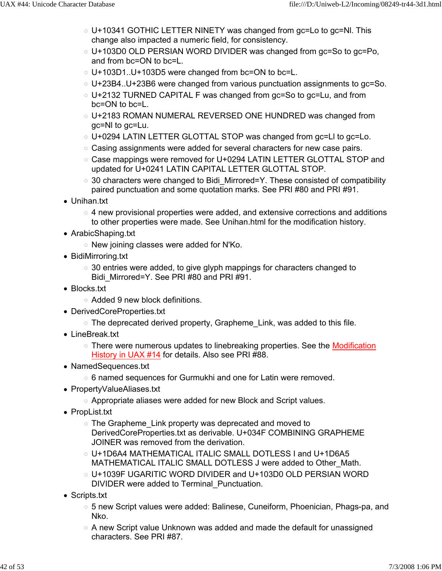- $\circ$  U+10341 GOTHIC LETTER NINETY was changed from gc=Lo to gc=Nl. This change also impacted a numeric field, for consistency.
- $\circ$  U+103D0 OLD PERSIAN WORD DIVIDER was changed from gc=So to gc=Po, and from bc=ON to bc=L.
- U+103D1..U+103D5 were changed from bc=ON to bc=L.
- $\circ$  U+23B4..U+23B6 were changed from various punctuation assignments to gc=So.
- U+2132 TURNED CAPITAL F was changed from gc=So to gc=Lu, and from bc=ON to bc=L.
- U+2183 ROMAN NUMERAL REVERSED ONE HUNDRED was changed from gc=Nl to gc=Lu.
- $\circ$  U+0294 LATIN LETTER GLOTTAL STOP was changed from gc=LI to gc=Lo.
- $\circ$  Casing assignments were added for several characters for new case pairs.
- $\circ$  Case mappings were removed for U+0294 LATIN LETTER GLOTTAL STOP and updated for U+0241 LATIN CAPITAL LETTER GLOTTAL STOP.
- $\circ$  30 characters were changed to Bidi Mirrored=Y. These consisted of compatibility paired punctuation and some quotation marks. See PRI #80 and PRI #91.
- Unihan.txt
	- $\circ$  4 new provisional properties were added, and extensive corrections and additions to other properties were made. See Unihan.html for the modification history.
- ArabicShaping.txt
	- o New joining classes were added for N'Ko.
- BidiMirroring.txt
	- $\circ$  30 entries were added, to give glyph mappings for characters changed to Bidi Mirrored=Y. See PRI #80 and PRI #91.
- Blocks.txt
	- Added 9 new block definitions.
- DerivedCoreProperties.txt
	- $\circ$  The deprecated derived property, Grapheme Link, was added to this file.
- LineBreak.txt
	- $\circ$  There were numerous updates to linebreaking properties. See the Modification History in UAX #14 for details. Also see PRI #88.
- NamedSequences.txt
	- 6 named sequences for Gurmukhi and one for Latin were removed.
- PropertyValueAliases.txt
	- Appropriate aliases were added for new Block and Script values.
- PropList.txt
	- $\circ$  The Grapheme Link property was deprecated and moved to DerivedCoreProperties.txt as derivable. U+034F COMBINING GRAPHEME JOINER was removed from the derivation.
	- U+1D6A4 MATHEMATICAL ITALIC SMALL DOTLESS I and U+1D6A5 MATHEMATICAL ITALIC SMALL DOTLESS J were added to Other Math.
	- U+1039F UGARITIC WORD DIVIDER and U+103D0 OLD PERSIAN WORD DIVIDER were added to Terminal\_Punctuation.
- Scripts.txt
	- 5 new Script values were added: Balinese, Cuneiform, Phoenician, Phags-pa, and Nko.
	- $\circ$  A new Script value Unknown was added and made the default for unassigned characters. See PRI #87.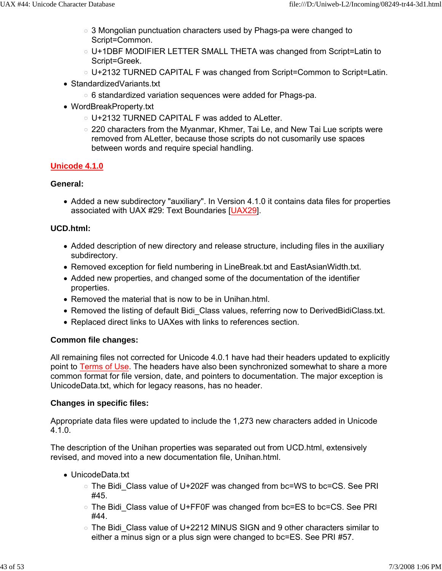- 3 Mongolian punctuation characters used by Phags-pa were changed to Script=Common.
- U+1DBF MODIFIER LETTER SMALL THETA was changed from Script=Latin to Script=Greek.
- U+2132 TURNED CAPITAL F was changed from Script=Common to Script=Latin.
- StandardizedVariants.txt
	- o 6 standardized variation sequences were added for Phags-pa.
- WordBreakProperty.txt
	- U+2132 TURNED CAPITAL F was added to ALetter.
	- 220 characters from the Myanmar, Khmer, Tai Le, and New Tai Lue scripts were removed from ALetter, because those scripts do not cusomarily use spaces between words and require special handling.

## **Unicode 4.1.0**

#### **General:**

Added a new subdirectory "auxiliary". In Version 4.1.0 it contains data files for properties associated with UAX #29: Text Boundaries [UAX29].

#### **UCD.html:**

- Added description of new directory and release structure, including files in the auxiliary subdirectory.
- Removed exception for field numbering in LineBreak.txt and EastAsianWidth.txt.
- Added new properties, and changed some of the documentation of the identifier properties.
- Removed the material that is now to be in Unihan.html.
- Removed the listing of default Bidi Class values, referring now to DerivedBidiClass.txt.
- Replaced direct links to UAXes with links to references section.

#### **Common file changes:**

All remaining files not corrected for Unicode 4.0.1 have had their headers updated to explicitly point to Terms of Use. The headers have also been synchronized somewhat to share a more common format for file version, date, and pointers to documentation. The major exception is UnicodeData.txt, which for legacy reasons, has no header.

#### **Changes in specific files:**

Appropriate data files were updated to include the 1,273 new characters added in Unicode 4.1.0.

The description of the Unihan properties was separated out from UCD.html, extensively revised, and moved into a new documentation file, Unihan.html.

- UnicodeData.txt
	- The Bidi\_Class value of U+202F was changed from bc=WS to bc=CS. See PRI #45.
	- The Bidi\_Class value of U+FF0F was changed from bc=ES to bc=CS. See PRI #44.
	- $\circ$  The Bidi Class value of U+2212 MINUS SIGN and 9 other characters similar to either a minus sign or a plus sign were changed to bc=ES. See PRI #57.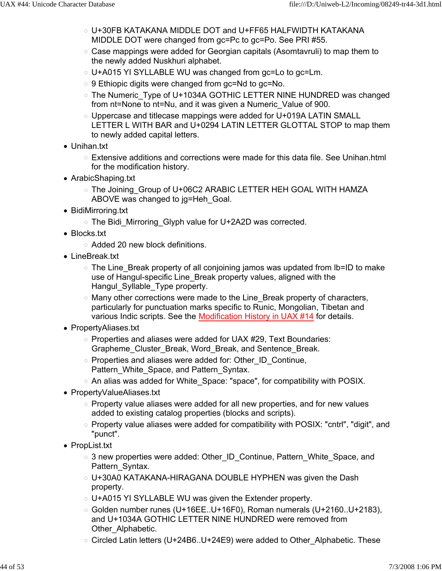- U+30FB KATAKANA MIDDLE DOT and U+FF65 HALFWIDTH KATAKANA MIDDLE DOT were changed from gc=Pc to gc=Po. See PRI #55.
- Case mappings were added for Georgian capitals (Asomtavruli) to map them to the newly added Nuskhuri alphabet.
- U+A015 YI SYLLABLE WU was changed from gc=Lo to gc=Lm.
- 9 Ethiopic digits were changed from gc=Nd to gc=No.
- $\circ$  The Numeric Type of U+1034A GOTHIC LETTER NINE HUNDRED was changed from nt=None to nt=Nu, and it was given a Numeric\_Value of 900.
- $\circ$  Uppercase and titlecase mappings were added for U+019A LATIN SMALL LETTER L WITH BAR and U+0294 LATIN LETTER GLOTTAL STOP to map them to newly added capital letters.
- Unihan.txt
	- $\circ$  Extensive additions and corrections were made for this data file. See Unihan.html for the modification history.
- ArabicShaping.txt
	- The Joining\_Group of U+06C2 ARABIC LETTER HEH GOAL WITH HAMZA ABOVE was changed to jg=Heh\_Goal.
- BidiMirroring.txt
	- The Bidi\_Mirroring\_Glyph value for U+2A2D was corrected.
- Blocks.txt
	- Added 20 new block definitions.
- LineBreak.txt
	- $\circ$  The Line Break property of all conjoining jamos was updated from Ib=ID to make use of Hangul-specific Line\_Break property values, aligned with the Hangul Syllable Type property.
	- Many other corrections were made to the Line Break property of characters, particularly for punctuation marks specific to Runic, Mongolian, Tibetan and various Indic scripts. See the Modification History in UAX #14 for details.
- PropertyAliases.txt
	- Properties and aliases were added for UAX #29, Text Boundaries: Grapheme\_Cluster\_Break, Word\_Break, and Sentence\_Break.
	- Properties and aliases were added for: Other ID Continue, Pattern\_White\_Space, and Pattern\_Syntax.
	- $\circ$  An alias was added for White Space: "space", for compatibility with POSIX.
- PropertyValueAliases.txt
	- $\circ$  Property value aliases were added for all new properties, and for new values added to existing catalog properties (blocks and scripts).
	- $\circ$  Property value aliases were added for compatibility with POSIX: "cntrl", "digit", and "punct".
- PropList.txt
	- $\circ$  3 new properties were added: Other ID Continue, Pattern White Space, and Pattern\_Syntax.
	- U+30A0 KATAKANA-HIRAGANA DOUBLE HYPHEN was given the Dash property.
	- U+A015 YI SYLLABLE WU was given the Extender property.
	- $\circ$  Golden number runes (U+16EE..U+16F0), Roman numerals (U+2160..U+2183), and U+1034A GOTHIC LETTER NINE HUNDRED were removed from Other Alphabetic.
	- Circled Latin letters (U+24B6..U+24E9) were added to Other\_Alphabetic. These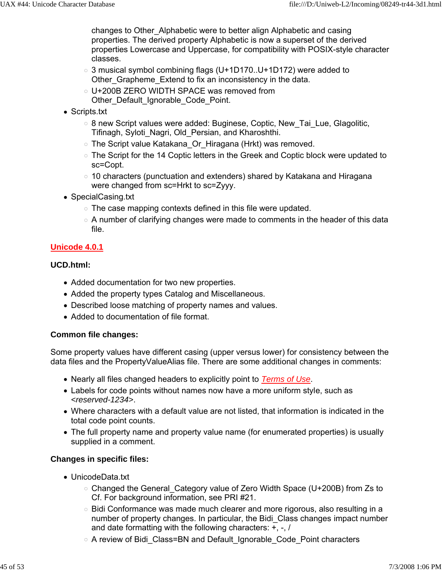changes to Other\_Alphabetic were to better align Alphabetic and casing properties. The derived property Alphabetic is now a superset of the derived properties Lowercase and Uppercase, for compatibility with POSIX-style character classes.

- $\circ$  3 musical symbol combining flags (U+1D170..U+1D172) were added to Other\_Grapheme\_Extend to fix an inconsistency in the data.
- U+200B ZERO WIDTH SPACE was removed from Other Default Ignorable Code Point.
- Scripts.txt
	- $\circ$  8 new Script values were added: Buginese, Coptic, New Tai Lue, Glagolitic, Tifinagh, Syloti\_Nagri, Old\_Persian, and Kharoshthi.
	- o The Script value Katakana Or Hiragana (Hrkt) was removed.
	- $\circ$  The Script for the 14 Coptic letters in the Greek and Coptic block were updated to sc=Copt.
	- 10 characters (punctuation and extenders) shared by Katakana and Hiragana were changed from sc=Hrkt to sc=Zyyy.
- SpecialCasing.txt
	- $\circ$  The case mapping contexts defined in this file were updated.
	- $\circ$  A number of clarifying changes were made to comments in the header of this data file.

## **Unicode 4.0.1**

### **UCD.html:**

- Added documentation for two new properties.
- Added the property types Catalog and Miscellaneous.
- Described loose matching of property names and values.
- Added to documentation of file format.

#### **Common file changes:**

Some property values have different casing (upper versus lower) for consistency between the data files and the PropertyValueAlias file. There are some additional changes in comments:

- Nearly all files changed headers to explicitly point to *Terms of Use*.
- Labels for code points without names now have a more uniform style, such as *<reserved-1234>*.
- Where characters with a default value are not listed, that information is indicated in the total code point counts.
- The full property name and property value name (for enumerated properties) is usually supplied in a comment.

## **Changes in specific files:**

- UnicodeData.txt
	- $\circ$  Changed the General Category value of Zero Width Space (U+200B) from Zs to Cf. For background information, see PRI #21.
	- $\circ$  Bidi Conformance was made much clearer and more rigorous, also resulting in a number of property changes. In particular, the Bidi\_Class changes impact number and date formatting with the following characters: +, -, /
	- $\circ$  A review of Bidi Class=BN and Default Ignorable Code Point characters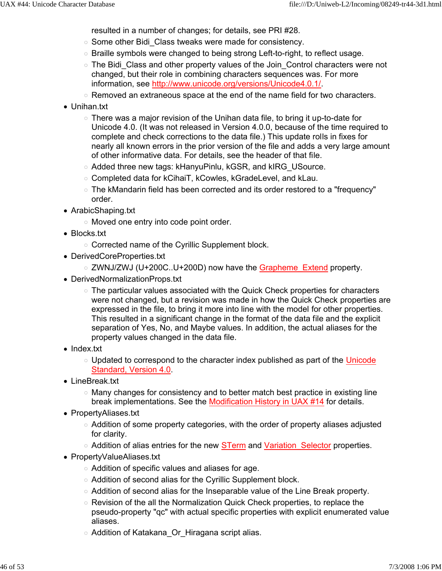resulted in a number of changes; for details, see PRI #28.

- o Some other Bidi\_Class tweaks were made for consistency.
- Braille symbols were changed to being strong Left-to-right, to reflect usage.
- $\circ$  The Bidi Class and other property values of the Join Control characters were not changed, but their role in combining characters sequences was. For more information, see http://www.unicode.org/versions/Unicode4.0.1/.
- Removed an extraneous space at the end of the name field for two characters.
- Unihan.txt
	- $\circ$  There was a major revision of the Unihan data file, to bring it up-to-date for Unicode 4.0. (It was not released in Version 4.0.0, because of the time required to complete and check corrections to the data file.) This update rolls in fixes for nearly all known errors in the prior version of the file and adds a very large amount of other informative data. For details, see the header of that file.
	- Added three new tags: kHanyuPinlu, kGSR, and kIRG USource.
	- Completed data for kCihaiT, kCowles, kGradeLevel, and kLau.
	- $\circ$  The kMandarin field has been corrected and its order restored to a "frequency" order.
- ArabicShaping.txt
	- Moved one entry into code point order.
- Blocks.txt
	- $\circ$  Corrected name of the Cyrillic Supplement block.
- DerivedCoreProperties.txt
	- ZWNJ/ZWJ (U+200C..U+200D) now have the Grapheme Extend property.
- DerivedNormalizationProps.txt
	- $\circ$  The particular values associated with the Quick Check properties for characters were not changed, but a revision was made in how the Quick Check properties are expressed in the file, to bring it more into line with the model for other properties. This resulted in a significant change in the format of the data file and the explicit separation of Yes, No, and Maybe values. In addition, the actual aliases for the property values changed in the data file.
- Index.txt
	- $\circ$  Updated to correspond to the character index published as part of the Unicode Standard, Version 4.0.
- LineBreak.txt
	- Many changes for consistency and to better match best practice in existing line break implementations. See the Modification History in UAX #14 for details.
- PropertyAliases.txt
	- $\circ$  Addition of some property categories, with the order of property aliases adjusted for clarity.
	- $\circ$  Addition of alias entries for the new STerm and Variation Selector properties.
- PropertyValueAliases.txt
	- Addition of specific values and aliases for age.
	- Addition of second alias for the Cyrillic Supplement block.
	- Addition of second alias for the Inseparable value of the Line Break property.
	- Revision of the all the Normalization Quick Check properties, to replace the pseudo-property "qc" with actual specific properties with explicit enumerated value aliases.
	- Addition of Katakana Or Hiragana script alias.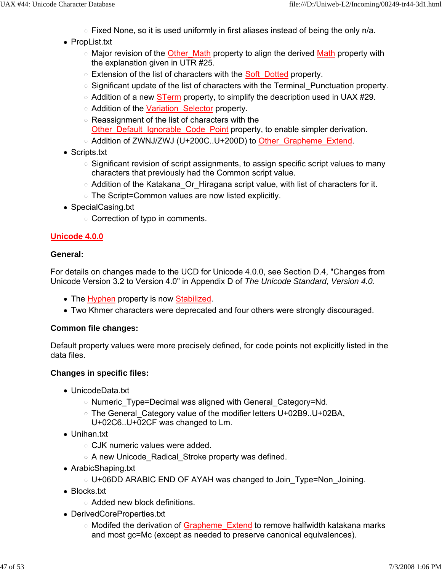- $\circ$  Fixed None, so it is used uniformly in first aliases instead of being the only n/a.
- PropList.txt
	- $\circ$  Major revision of the Other Math property to align the derived Math property with the explanation given in UTR #25.
	- Extension of the list of characters with the Soft Dotted property.
	- $\circ$  Significant update of the list of characters with the Terminal\_Punctuation property.
	- $\circ$  Addition of a new  $STerm$  property, to simplify the description used in UAX #29.
	- o Addition of the Variation Selector property.
	- $\circ$  Reassignment of the list of characters with the Other Default Ignorable Code Point property, to enable simpler derivation.
	- Addition of ZWNJ/ZWJ (U+200C. U+200D) to Other Grapheme Extend.
- Scripts.txt
	- $\circ$  Significant revision of script assignments, to assign specific script values to many characters that previously had the Common script value.
	- $\circ$  Addition of the Katakana  $\circ$  Hiragana script value, with list of characters for it.
	- The Script=Common values are now listed explicitly.
- SpecialCasing.txt
	- $\circ$  Correction of typo in comments.

#### **Unicode 4.0.0**

#### **General:**

For details on changes made to the UCD for Unicode 4.0.0, see Section D.4, "Changes from Unicode Version 3.2 to Version 4.0" in Appendix D of *The Unicode Standard, Version 4.0.*

- The Hyphen property is now Stabilized.
- Two Khmer characters were deprecated and four others were strongly discouraged.

#### **Common file changes:**

Default property values were more precisely defined, for code points not explicitly listed in the data files.

#### **Changes in specific files:**

- UnicodeData.txt
	- Numeric Type=Decimal was aligned with General Category=Nd.
	- The General Category value of the modifier letters U+02B9..U+02BA, U+02C6..U+02CF was changed to Lm.
- Unihan.txt
	- CJK numeric values were added.
	- o A new Unicode Radical Stroke property was defined.
- ArabicShaping.txt
	- $\circ$  U+06DD ARABIC END OF AYAH was changed to Join Type=Non Joining.
- Blocks.txt
	- Added new block definitions.
- DerivedCoreProperties.txt
	- $\circ$  Modifed the derivation of Grapheme Extend to remove halfwidth katakana marks and most gc=Mc (except as needed to preserve canonical equivalences).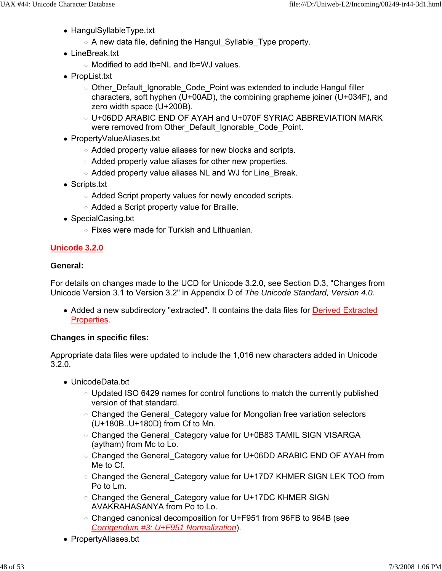- HangulSyllableType.txt
	- $\circ$  A new data file, defining the Hangul\_Syllable\_Type property.
- LineBreak.txt
	- o Modified to add Ib=NL and Ib=WJ values.
- PropList.txt
	- Other\_Default\_Ignorable\_Code\_Point was extended to include Hangul filler characters, soft hyphen (U+00AD), the combining grapheme joiner (U+034F), and zero width space (U+200B).
	- U+06DD ARABIC END OF AYAH and U+070F SYRIAC ABBREVIATION MARK were removed from Other\_Default\_Ignorable\_Code\_Point.
- PropertyValueAliases.txt
	- Added property value aliases for new blocks and scripts.
	- Added property value aliases for other new properties.
	- $\circ$  Added property value aliases NL and WJ for Line Break.
- Scripts.txt
	- Added Script property values for newly encoded scripts.
	- Added a Script property value for Braille.
- SpecialCasing.txt
	- Fixes were made for Turkish and Lithuanian.

## **Unicode 3.2.0**

#### **General:**

For details on changes made to the UCD for Unicode 3.2.0, see Section D.3, "Changes from Unicode Version 3.1 to Version 3.2" in Appendix D of *The Unicode Standard, Version 4.0.*

• Added a new subdirectory "extracted". It contains the data files for Derived Extracted Properties.

## **Changes in specific files:**

Appropriate data files were updated to include the 1,016 new characters added in Unicode 3.2.0.

- UnicodeData.txt
	- $\circ$  Updated ISO 6429 names for control functions to match the currently published version of that standard.
	- $\circ$  Changed the General Category value for Mongolian free variation selectors (U+180B..U+180D) from Cf to Mn.
	- Changed the General Category value for U+0B83 TAMIL SIGN VISARGA (aytham) from Mc to Lo.
	- Changed the General\_Category value for U+06DD ARABIC END OF AYAH from Me to Cf.
	- Changed the General\_Category value for U+17D7 KHMER SIGN LEK TOO from Po to Lm.
	- o Changed the General\_Category value for U+17DC KHMER SIGN AVAKRAHASANYA from Po to Lo.
	- Changed canonical decomposition for U+F951 from 96FB to 964B (see *Corrigendum #3: U+F951 Normalization*).
- PropertyAliases.txt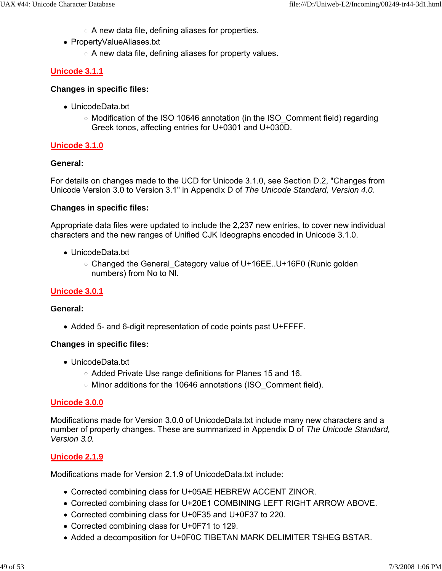- $\circ$  A new data file, defining aliases for properties.
- PropertyValueAliases.txt
	- $\circ$  A new data file, defining aliases for property values.

### **Unicode 3.1.1**

#### **Changes in specific files:**

- UnicodeData.txt
	- Modification of the ISO 10646 annotation (in the ISO\_Comment field) regarding Greek tonos, affecting entries for U+0301 and U+030D.

#### **Unicode 3.1.0**

#### **General:**

For details on changes made to the UCD for Unicode 3.1.0, see Section D.2, "Changes from Unicode Version 3.0 to Version 3.1" in Appendix D of *The Unicode Standard, Version 4.0.*

#### **Changes in specific files:**

Appropriate data files were updated to include the 2,237 new entries, to cover new individual characters and the new ranges of Unified CJK Ideographs encoded in Unicode 3.1.0.

- UnicodeData.txt
	- $\circ$  Changed the General Category value of U+16EE..U+16F0 (Runic golden numbers) from No to Nl.

#### **Unicode 3.0.1**

#### **General:**

Added 5- and 6-digit representation of code points past U+FFFF.

#### **Changes in specific files:**

- UnicodeData.txt
	- Added Private Use range definitions for Planes 15 and 16.
	- $\circ$  Minor additions for the 10646 annotations (ISO Comment field).

#### **Unicode 3.0.0**

Modifications made for Version 3.0.0 of UnicodeData.txt include many new characters and a number of property changes. These are summarized in Appendix D of *The Unicode Standard, Version 3.0.*

#### **Unicode 2.1.9**

Modifications made for Version 2.1.9 of UnicodeData.txt include:

- Corrected combining class for U+05AE HEBREW ACCENT ZINOR.
- Corrected combining class for U+20E1 COMBINING LEFT RIGHT ARROW ABOVE.
- Corrected combining class for U+0F35 and U+0F37 to 220.
- Corrected combining class for U+0F71 to 129.
- Added a decomposition for U+0F0C TIBETAN MARK DELIMITER TSHEG BSTAR.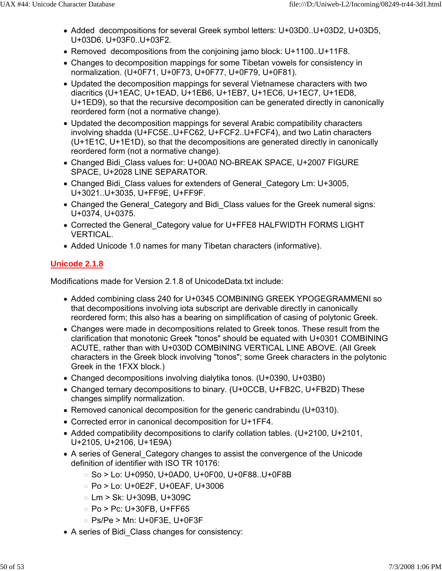- Added decompositions for several Greek symbol letters: U+03D0..U+03D2, U+03D5, U+03D6, U+03F0..U+03F2.
- Removed decompositions from the conjoining jamo block: U+1100..U+11F8.
- Changes to decomposition mappings for some Tibetan vowels for consistency in normalization. (U+0F71, U+0F73, U+0F77, U+0F79, U+0F81).
- Updated the decomposition mappings for several Vietnamese characters with two diacritics (U+1EAC, U+1EAD, U+1EB6, U+1EB7, U+1EC6, U+1EC7, U+1ED8, U+1ED9), so that the recursive decomposition can be generated directly in canonically reordered form (not a normative change).
- Updated the decomposition mappings for several Arabic compatibility characters involving shadda (U+FC5E..U+FC62, U+FCF2..U+FCF4), and two Latin characters (U+1E1C, U+1E1D), so that the decompositions are generated directly in canonically reordered form (not a normative change).
- Changed Bidi\_Class values for: U+00A0 NO-BREAK SPACE, U+2007 FIGURE SPACE, U+2028 LINE SEPARATOR.
- Changed Bidi Class values for extenders of General Category Lm: U+3005, U+3021..U+3035, U+FF9E, U+FF9F.
- Changed the General\_Category and Bidi\_Class values for the Greek numeral signs: U+0374, U+0375.
- Corrected the General\_Category value for U+FFE8 HALFWIDTH FORMS LIGHT VERTICAL.
- Added Unicode 1.0 names for many Tibetan characters (informative).

### **Unicode 2.1.8**

Modifications made for Version 2.1.8 of UnicodeData.txt include:

- Added combining class 240 for U+0345 COMBINING GREEK YPOGEGRAMMENI so that decompositions involving iota subscript are derivable directly in canonically reordered form; this also has a bearing on simplification of casing of polytonic Greek.
- Changes were made in decompositions related to Greek tonos. These result from the clarification that monotonic Greek "tonos" should be equated with U+0301 COMBINING ACUTE, rather than with U+030D COMBINING VERTICAL LINE ABOVE. (All Greek characters in the Greek block involving "tonos"; some Greek characters in the polytonic Greek in the 1FXX block.)
- Changed decompositions involving dialytika tonos. (U+0390, U+03B0)
- Changed ternary decompositions to binary. (U+0CCB, U+FB2C, U+FB2D) These changes simplify normalization.
- Removed canonical decomposition for the generic candrabindu (U+0310).
- Corrected error in canonical decomposition for U+1FF4.
- Added compatibility decompositions to clarify collation tables. (U+2100, U+2101, U+2105, U+2106, U+1E9A)
- A series of General\_Category changes to assist the convergence of the Unicode definition of identifier with ISO TR 10176:
	- $\circ$  So > Lo: U+0950, U+0AD0, U+0F00, U+0F88..U+0F8B
	- Po > Lo: U+0E2F, U+0EAF, U+3006
	- Lm > Sk: U+309B, U+309C
	- $\circ$  Po > Pc: U+30FB, U+FF65
	- $\circ$  Ps/Pe > Mn: U+0F3E, U+0F3F
- A series of Bidi Class changes for consistency: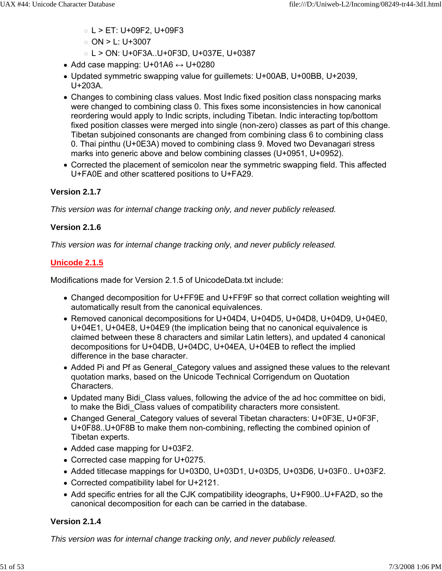- $L > E$ T: U+09F2, U+09F3
- $\circ$  ON > L: U+3007
- L > ON: U+0F3A..U+0F3D, U+037E, U+0387
- $\bullet$  Add case mapping: U+01A6  $\leftrightarrow$  U+0280
- Updated symmetric swapping value for guillemets: U+00AB, U+00BB, U+2039, U+203A.
- Changes to combining class values. Most Indic fixed position class nonspacing marks were changed to combining class 0. This fixes some inconsistencies in how canonical reordering would apply to Indic scripts, including Tibetan. Indic interacting top/bottom fixed position classes were merged into single (non-zero) classes as part of this change. Tibetan subjoined consonants are changed from combining class 6 to combining class 0. Thai pinthu (U+0E3A) moved to combining class 9. Moved two Devanagari stress marks into generic above and below combining classes (U+0951, U+0952).
- Corrected the placement of semicolon near the symmetric swapping field. This affected U+FA0E and other scattered positions to U+FA29.

#### **Version 2.1.7**

*This version was for internal change tracking only, and never publicly released.*

#### **Version 2.1.6**

*This version was for internal change tracking only, and never publicly released.*

#### **Unicode 2.1.5**

Modifications made for Version 2.1.5 of UnicodeData.txt include:

- Changed decomposition for U+FF9E and U+FF9F so that correct collation weighting will automatically result from the canonical equivalences.
- Removed canonical decompositions for U+04D4, U+04D5, U+04D8, U+04D9, U+04E0, U+04E1, U+04E8, U+04E9 (the implication being that no canonical equivalence is claimed between these 8 characters and similar Latin letters), and updated 4 canonical decompositions for U+04DB, U+04DC, U+04EA, U+04EB to reflect the implied difference in the base character.
- Added Pi and Pf as General\_Category values and assigned these values to the relevant quotation marks, based on the Unicode Technical Corrigendum on Quotation Characters.
- Updated many Bidi\_Class values, following the advice of the ad hoc committee on bidi, to make the Bidi\_Class values of compatibility characters more consistent.
- Changed General\_Category values of several Tibetan characters: U+0F3E, U+0F3F, U+0F88..U+0F8B to make them non-combining, reflecting the combined opinion of Tibetan experts.
- Added case mapping for U+03F2.
- Corrected case mapping for U+0275.
- Added titlecase mappings for U+03D0, U+03D1, U+03D5, U+03D6, U+03F0.. U+03F2.
- Corrected compatibility label for U+2121.
- Add specific entries for all the CJK compatibility ideographs, U+F900..U+FA2D, so the canonical decomposition for each can be carried in the database.

#### **Version 2.1.4**

*This version was for internal change tracking only, and never publicly released.*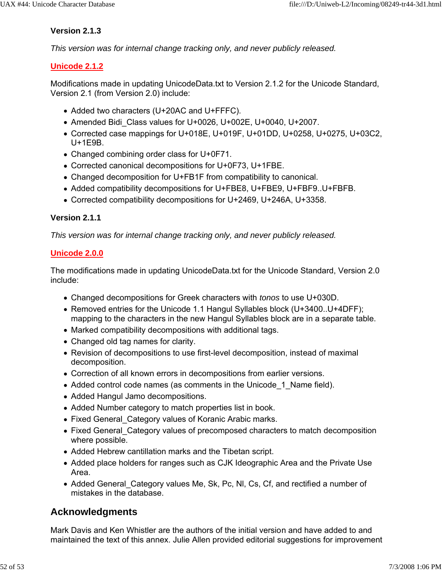## **Version 2.1.3**

*This version was for internal change tracking only, and never publicly released.*

#### **Unicode 2.1.2**

Modifications made in updating UnicodeData.txt to Version 2.1.2 for the Unicode Standard, Version 2.1 (from Version 2.0) include:

- Added two characters (U+20AC and U+FFFC).
- Amended Bidi\_Class values for U+0026, U+002E, U+0040, U+2007.
- Corrected case mappings for U+018E, U+019F, U+01DD, U+0258, U+0275, U+03C2, U+1E9B.
- Changed combining order class for U+0F71.
- Corrected canonical decompositions for U+0F73, U+1FBE.
- Changed decomposition for U+FB1F from compatibility to canonical.
- Added compatibility decompositions for U+FBE8, U+FBE9, U+FBF9..U+FBFB.
- Corrected compatibility decompositions for U+2469, U+246A, U+3358.

#### **Version 2.1.1**

*This version was for internal change tracking only, and never publicly released.*

### **Unicode 2.0.0**

The modifications made in updating UnicodeData.txt for the Unicode Standard, Version 2.0 include:

- Changed decompositions for Greek characters with *tonos* to use U+030D.
- Removed entries for the Unicode 1.1 Hangul Syllables block (U+3400..U+4DFF); mapping to the characters in the new Hangul Syllables block are in a separate table.
- Marked compatibility decompositions with additional tags.
- Changed old tag names for clarity.
- Revision of decompositions to use first-level decomposition, instead of maximal decomposition.
- Correction of all known errors in decompositions from earlier versions.
- Added control code names (as comments in the Unicode 1 Name field).
- Added Hangul Jamo decompositions.
- Added Number category to match properties list in book.
- Fixed General\_Category values of Koranic Arabic marks.
- Fixed General Category values of precomposed characters to match decomposition where possible.
- Added Hebrew cantillation marks and the Tibetan script.
- Added place holders for ranges such as CJK Ideographic Area and the Private Use Area.
- Added General\_Category values Me, Sk, Pc, Nl, Cs, Cf, and rectified a number of mistakes in the database.

## **Acknowledgments**

Mark Davis and Ken Whistler are the authors of the initial version and have added to and maintained the text of this annex. Julie Allen provided editorial suggestions for improvement